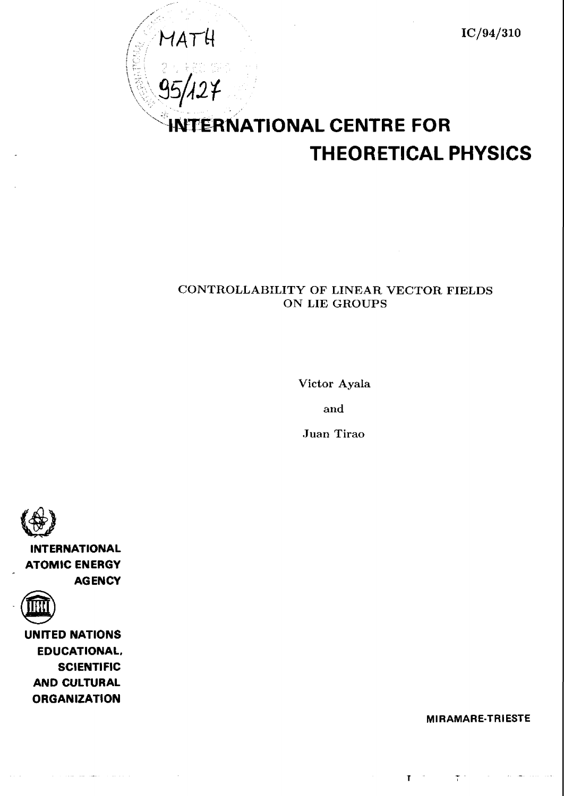# **HNTERNATIONAL CENTRE FOR THEORETICAL PHYSICS**

### CONTROLLABILITY OF LINEAR VECTOR FIELDS ON LIE GROUPS

Victor Ayala

and

Juan Tirao



**INTERNATIONAL ATOMIC ENERGY AGENCY**



**UNITED NATIONS EDUCATIONAL, SCIENTIFIC AND CULTURAL ORGANIZATION**

#### **Ml RAM A RE-TRIESTE**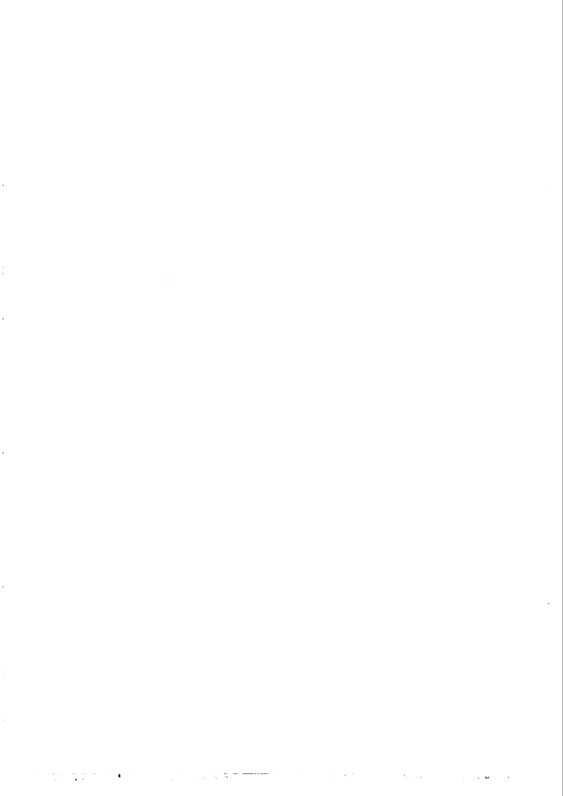$\label{eq:2.1} \begin{split} \mathbf{C}^{(1)}_{\text{max}}(\mathbf{r}) & = \frac{1}{2} \sum_{i=1}^{N} \mathbf{C}^{(1)}_{\text{max}}(\mathbf{r}) \mathbf{r}_i \mathbf{r}_i \mathbf{r}_i \mathbf{r}_i \mathbf{r}_i \mathbf{r}_i \mathbf{r}_i \mathbf{r}_i \mathbf{r}_i \mathbf{r}_i \mathbf{r}_i \mathbf{r}_i \mathbf{r}_i \mathbf{r}_i \mathbf{r}_i \mathbf{r}_i \mathbf{r}_i \mathbf{r}_i \mathbf{r}_i \mathbf{r}_i \mathbf$  $\frac{1}{\sqrt{2}}$  $\label{eq:2.1} \mathcal{L}(\mathcal{L}^{\text{max}}_{\mathcal{L}}(\mathcal{L}^{\text{max}}_{\mathcal{L}}(\mathcal{L}^{\text{max}}_{\mathcal{L}}(\mathcal{L}^{\text{max}}_{\mathcal{L}^{\text{max}}_{\mathcal{L}}(\mathcal{L}^{\text{max}}_{\mathcal{L}^{\text{max}}_{\mathcal{L}^{\text{max}}_{\mathcal{L}^{\text{max}}_{\mathcal{L}^{\text{max}}_{\mathcal{L}^{\text{max}}_{\mathcal{L}^{\text{max}}_{\mathcal{L}^{\text{max}}_{\mathcal{L}^{\text{max}}$  $\frac{1}{\sqrt{2}}\int_{0}^{\pi/2}d\mu\left( \frac{d\mu}{2}\right) \frac{d\mu}{2}d\mu\left( \frac{d\mu}{2}\right)$ 

a de la componencia de la construção de la Componencia de la construção de la construção de la construção de l<br>La construção de la construção de la construção de la construção de la construção de la construção de la const

 $\frac{1}{2}$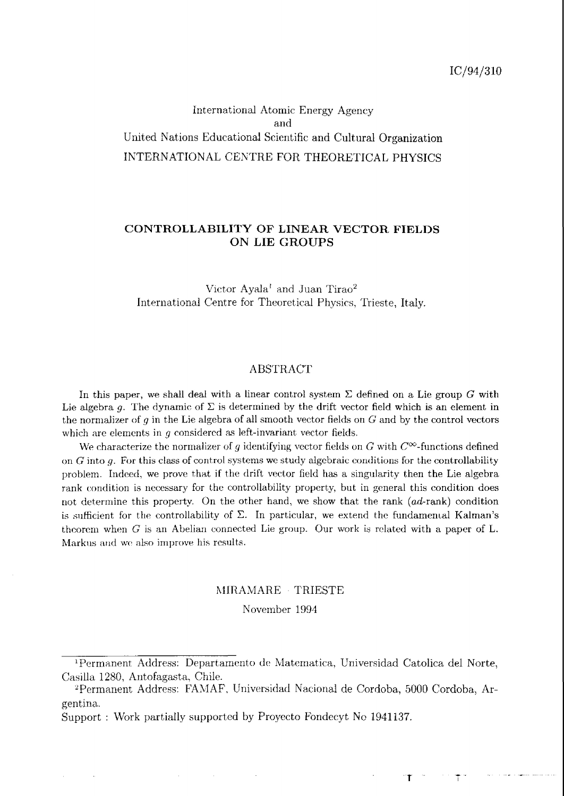### International Atomic Energy Agency and United Nations Educational Scientific and Cultural Organization INTERNATIONAL CENTRE FOR THEORETICAL PHYSICS

### **CONTROLLABILITY OF LINEAR VECTOR FIELDS ON LIE GROUPS**

Victor Ayala' and Juan Tirao<sup>2</sup> International Centre for Theoretical Physics, Trieste, Italy.

### ABSTRACT

In this paper, we shall deal with a linear control system  $\Sigma$  defined on a Lie group G with Lie algebra q. The dynamic of  $\Sigma$  is determined by the drift vector field which is an element in the normalizer of *g* in the Lie algebra of all smooth vector fields on *G* and by the control vectors which are elements in *g* considered as left-invariant vector fields.

We characterize the normalizer of q identifying vector fields on  $G$  with  $C^{\infty}$ -functions defined on *G* into *g.* For this class of control systems we study algebraic conditions for the controllability problem. Indeed, we prove that if the drift vector field has a singularity then the Lie algebra rank condition is necessary for the controllability property, but in general this condition does not determine this property. On the other hand, we show that the rank (ad-rank) condition is sufficient for the controllability of  $\Sigma$ . In particular, we extend the fundamental Kalman's theorem when *G* is an Abelian connected Lie group. Our work is related with a paper of L. Markus and we also improve his results.

#### MIRAMARE TRIESTE

#### November 1994

 $T^{\rm eff}$  and  $T^{\rm eff}$ 

Permanent Address: Departamento de Matematica, Universidad Catolica del Norte, Casilla 1280, Antofagasta, Chile.

<sup>&</sup>lt;sup>2</sup>Permanent Address: FAMAF, Universidad Nacional de Cordoba, 5000 Cordoba, Argentina.

Support : Work partially supported by Proyecto Fondecyt No 1941137.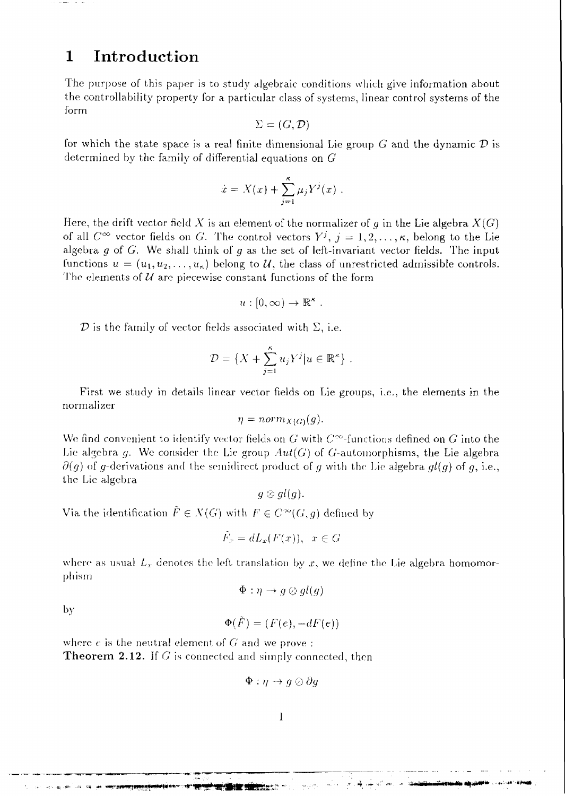# 1 Introduction

The purpose of this paper is to study algebraic conditions which give information about the controllability property for a particular class of systems, linear control systems of the form

$$
\Sigma=(G,\mathcal{D})
$$

for which the state space is a real finite dimensional Lie group *G* and the dynamic *V* is determined by the family of differential equations on *G*

$$
\dot{x} = X(x) + \sum_{j=1}^{\kappa} \mu_j Y^j(x) .
$$

Here, the drift vector field *X* is an element of the normalizer of *g* in the Lie algebra *X(G)* of all  $C^{\infty}$  vector fields on G. The control vectors  $Y^j$ ,  $j = 1, 2, ..., \kappa$ , belong to the Lie algebra *g* of *G.* We shall think of *g* as the set of left-invariant vector fields. The input functions  $u = (u_1, u_2, \ldots, u_k)$  belong to U, the class of unrestricted admissible controls. The elements of *U* are piecewise constant functions of the form

$$
u:[0,\infty)\to\mathbb{R}^\kappa.
$$

 $\mathcal D$  is the family of vector fields associated with  $\Sigma$ , i.e.

$$
\mathcal{D} = \{X + \sum_{j=1}^{\kappa} u_j Y^j | u \in \mathbb{R}^{\kappa}\}.
$$

First we study in details linear vector fields on Lie groups, i.e., the elements in the normalizer

$$
\eta = norm_{X(G)}(g).
$$

We find convenient to identify vector fields on  $G$  with  $C^{\infty}$ -functions defined on  $G$  into the Lie algebra g. We consider the Lie group  $Aut(G)$  of G-automorphisms, the Lie algebra  $\partial(g)$  of g-derivations and the semidirect product of q with the Lie algebra  $ql(q)$  of q, i.e., the Lie algebra

$$
g\otimes gl(g)
$$

Via the identification  $\tilde{F} \in X(G)$  with  $F \in C^{\infty}(G,g)$  defined by

$$
\tilde{F}_x = dL_x(F(x)), \ \ x \in G
$$

where as usual  $L<sub>x</sub>$  denotes the left translation by  $x$ , we define the Lie algebra homomorphism

$$
\Phi:\eta\to g\otimes gl(g)
$$

by

$$
\Phi(\tilde{F})=(F(e),-dF(e))
$$

where *e* is the neutral element of *G* and we prove :

**Theorem 2.12.** If G is connected and simply connected, then

*-•••>\*'• W'\*\* ^*

$$
\Phi:\eta\to g\odot\partial g
$$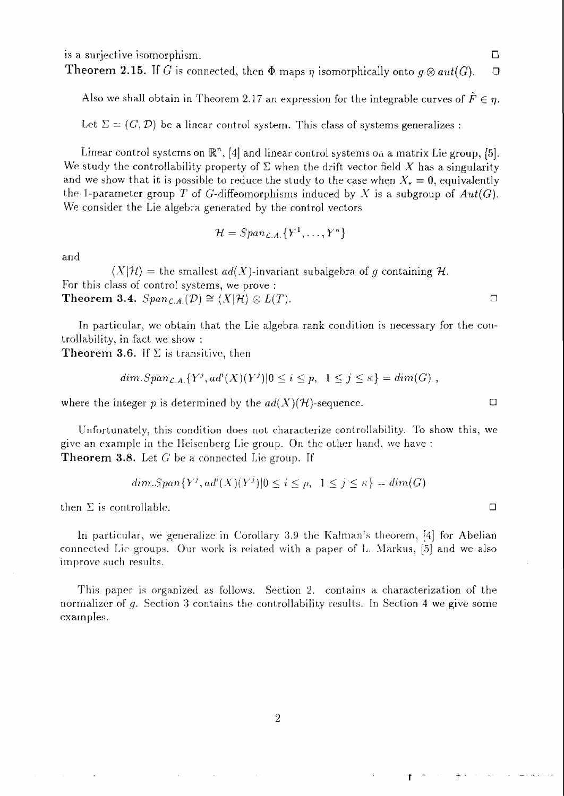is a surjective isomorphism. **• Theorem 2.15.** If G is connected, then  $\Phi$  maps  $\eta$  isomorphically onto  $g \otimes aut(G)$ .  $\Box$ 

Also we shall obtain in Theorem 2.17 an expression for the integrable curves of  $\tilde{F} \in \eta$ .

Let  $\Sigma = (G, \mathcal{D})$  be a linear control system. This class of systems generalizes :

Linear control systems on  $\mathbb{R}^n,$  [4] and linear control systems on a matrix Lie group, [5]. We study the controllability property of  $\Sigma$  when the drift vector field X has a singularity and we show that it is possible to reduce the study to the case when  $X_e = 0$ , equivalently the 1-parameter group  $T$  of  $G$ -diffeomorphisms induced by  $X$  is a subgroup of  $Aut(G)$ . We consider the Lie algebra generated by the control vectors

$$
\mathcal{H} = Span_{\mathcal{L},A.}\{Y^1,\ldots,Y^{\kappa}\}
$$

and

 $\langle X|\mathcal{H}\rangle$  = the smallest  $ad(X)$ -invariant subalgebra of g containing H. For this class of control systems, we prove : **Theorem 3.4.**  $Span_{\mathcal{L},A}(\mathcal{D}) \cong \langle X|\mathcal{H}\rangle \otimes L(T)$ .

In particular, we obtain that the Lie algebra rank condition is necessary for the controllability, in fact we show :

**Theorem 3.6.** If  $\Sigma$  is transitive, then

$$
dim.Span_{\mathcal{L},A.}\lbrace Y^j, ad^i(X)(Y^j) | 0 \leq i \leq p, 1 \leq j \leq \kappa \rbrace = dim(G) ,
$$

where the integer p is determined by the  $ad(X)(\mathcal{H})$ -sequence.

Unfortunately, this condition does not characterize controllability. To show this, we give an example in the Heisenberg Lie group. On the other hand, we have : **Theorem 3.8.** Let *G* be a connected Lie group. If

$$
dim.Span\{Y^j, ad^i(X)(Y^j) | 0 \le i \le p, \ 1 \le j \le \kappa\} = dim(G)
$$

then  $\Sigma$  is controllable.  $\square$ 

In particular, we generalize in Corollary 3.9 the Kalman's theorem, [4] for Abelian connected Lie groups. Our work is related with a paper of L. Markus,  $[5]$  and we also improve such results.

This paper is organized as follows. Section 2. contains a characterization of the normalizer of *g.* Section 3 contains the controllability results. In Section 4 we give some examples.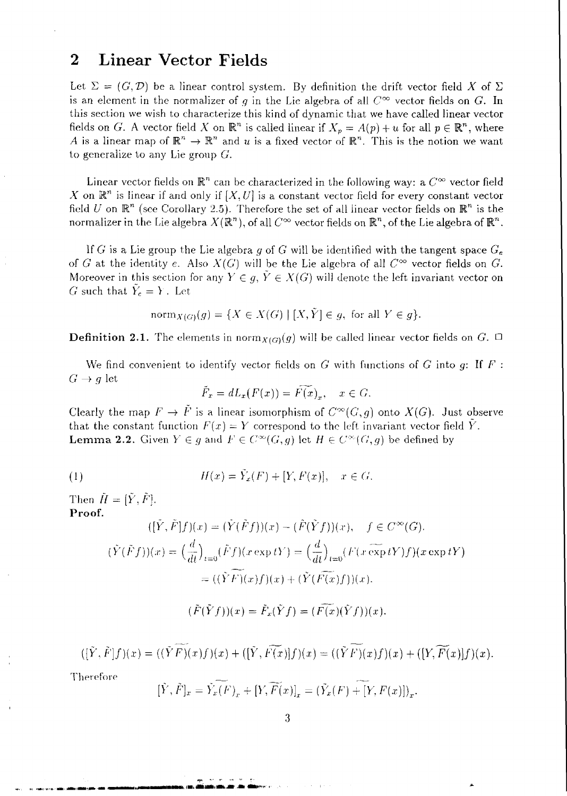### 2 Linear Vector Fields

Let  $\Sigma = (G, \mathcal{D})$  be a linear control system. By definition the drift vector field X of  $\Sigma$ is an element in the normalizer of q in the Lie algebra of all  $C^{\infty}$  vector fields on G. In this section we wish to characterize this kind of dynamic that we have called linear vector fields on G. A vector field X on  $\mathbb{R}^n$  is called linear if  $X_p = A(p) + u$  for all  $p \in \mathbb{R}^n$ , where *A* is a linear map of  $\mathbb{R}^n \to \mathbb{R}^n$  and *u* is a fixed vector of  $\mathbb{R}^n$ . This is the notion we want to generalize to any Lie group *G.*

Linear vector fields on  $\mathbb{R}^n$  can be characterized in the following way: a  $C^\infty$  vect<mark>or f</mark>ield X on  $\mathbb{R}^n$  is linear if and only if  $[X, U]$  is a constant vector field for every constant vector field U on  $\mathbb{R}^n$  (see Corollary 2.5). Therefore the set of all linear vector fields on  $\mathbb{R}^n$  is the normalizer in the Lie algebra  $X(\mathbb{R}^n),$  of all  $C^\infty$  vector fields on  $\mathbb{R}^n,$  of the Lie algebra of  $\mathbb{R}^n.$ 

If *G* is a Lie group the Lie algebra *g* of *G* will be identified with the tangent space *G<sup>e</sup>* of G at the identity e. Also  $X(G)$  will be the Lie algebra of all  $C^{\infty}$  vector fields on G. Moreover in this section for any  $Y \in g$ ,  $\tilde{Y} \in X(G)$  will denote the left invariant vector on *G* such that  $Y_e = Y$ . Let

$$
\operatorname{norm}_{X(G)}(g) = \{ X \in X(G) \mid [X, \tilde{Y}] \in g, \text{ for all } Y \in g \}.
$$

**Definition 2.1.** The elements in norm<sub> $X(G)$ </sub> $(g)$  will be called linear vector fields on G.  $\Box$ 

We find convenient to identify vector fields on *G* with functions of *G* into *g:* If *F :*  $G \rightarrow g$  let

$$
\tilde{F}_x = dL_x(F(x)) = \widetilde{F(x)}_x, \quad x \in G.
$$

Clearly the map  $F \to \tilde{F}$  is a linear isomorphism of  $C^{\infty}(G,g)$  onto  $X(G)$ . Just observe that the constant function  $F(x) = Y$  correspond to the left invariant vector field  $\tilde{Y}$ . **Lemma 2.2.** Given  $Y \in g$  and  $F \in C^{\infty}(G,g)$  let  $H \in C^{\infty}(G,g)$  be defined by

(1) 
$$
H(x) = \tilde{Y}_x(F) + [Y, F(x)], \quad x \in G.
$$

Then  $\tilde{H} = [\tilde{Y}, \tilde{F}].$ **Proof.**

$$
(\lbrace \tilde{Y}, \tilde{F} \rbrace f)(x) = (\tilde{Y}(\tilde{F}f))(x) - (\tilde{F}(\tilde{Y}f))(x), \quad f \in C^{\infty}(G).
$$
  

$$
(\tilde{Y}(\tilde{F}f))(x) = \left(\frac{d}{dt}\right)_{t=0} (\tilde{F}f)(x \exp tY) = \left(\frac{d}{dt}\right)_{t=0} (F(x \exp tY)f)(x \exp tY)
$$
  

$$
= ((\tilde{Y}\tilde{F})(x)f)(x) + (\tilde{Y}(\tilde{F}(x)f))(x).
$$

$$
(\tilde{F}(\tilde{Y}f))(x) = \tilde{F}_x(\tilde{Y}f) = (\widetilde{F(x)}(\tilde{Y}f))(x).
$$

$$
([\tilde{Y}, \tilde{F}]f)(x) = ((\tilde{Y}\widetilde{F})(x)f)(x) + ([\tilde{Y}, \tilde{F(x)}]f)(x) = ((\tilde{Y}\widetilde{F})(x)f)(x) + ([Y, \widetilde{F(x)}]f)(x).
$$

Therefore ,

$$
[\tilde{Y}, \tilde{F}]_x = \tilde{Y}_x(F)_x + [Y, \widetilde{F}(x)]_x = (\tilde{Y}_x(F) + [Y, F(x)])_x.
$$

3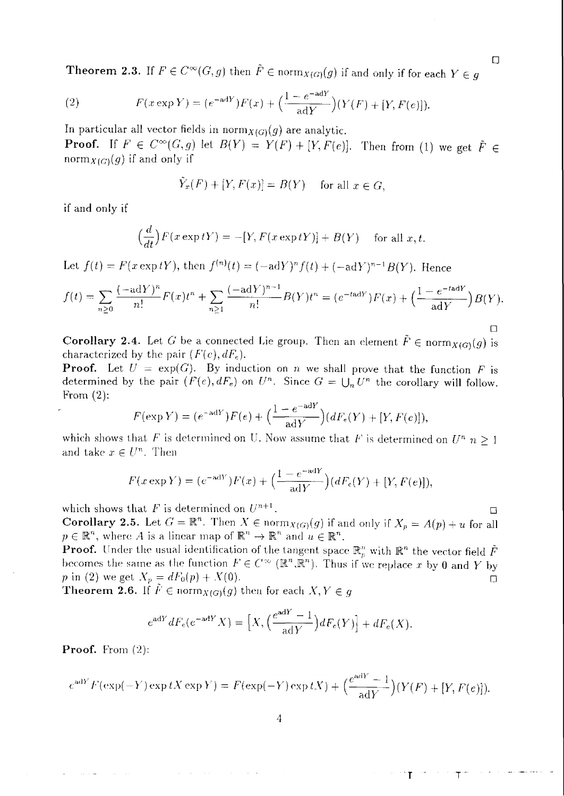**Theorem 2.3.** If  $F \in C^{\infty}(G, g)$  then  $\tilde{F} \in \text{norm}_{X(G)}(g)$  if and only if for each  $Y \in g$ 

(2) 
$$
F(x \exp Y) = (e^{-adY})F(x) + \left(\frac{1 - e^{-adY}}{adY}\right)(Y(F) + [Y, F(e)]).
$$

In particular all vector fields in norm $_{X(G)}(g)$  are analytic.

**Proof.** If  $F \in C^{\infty}(G,g)$  let  $B(Y) = Y(F) + [Y, F(e)]$ . Then from (1) we get  $\tilde{F} \in$ norm $x(G)(q)$  if and only if

$$
\tilde{Y}_x(F) + [Y, F(x)] = B(Y) \quad \text{ for all } x \in G,
$$

if and only if

$$
\left(\frac{d}{dt}\right)F(x\exp tY) = -[Y, F(x\exp tY)] + B(Y) \quad \text{for all } x, t.
$$

Let  $f(t) = F(x \exp tY)$ , then  $f^{(n)}(t) = (-adY)^n f(t) + (-adY)^{n-1}B(Y)$ . Hence

$$
f(t) = \sum_{n\geq 0} \frac{(-\text{ad}Y)^n}{n!} F(x)t^n + \sum_{n\geq 1} \frac{(-\text{ad}Y)^{n-1}}{n!} B(Y)t^n = (e^{-t\text{ad}Y})F(x) + \left(\frac{1 - e^{-t\text{ad}Y}}{\text{ad}Y}\right)B(Y).
$$

**Corollary 2.4.** Let G be a connected Lie group. Then an element  $\tilde{F} \in \text{norm}_{X(G)}(q)$  is characterized by the pair  $(F(e), dF_e)$ .

**Proof.** Let  $U = \exp(G)$ . By induction on n we shall prove that the function F is determined by the pair  $(F(e), dF_e)$  on  $U^n$ . Since  $G = \bigcup_n U^n$  the corollary will follow. From  $(2)$ :

$$
F(\exp Y) = (e^{-\mathrm{ad}Y})F(e) + \left(\frac{1 - e^{-\mathrm{ad}Y}}{\mathrm{ad}Y}\right)(dF_e(Y) + [Y, F(e)]),
$$

which shows that F is determined on U. Now assume that F is determined on  $U^n$   $n \geq 1$ and take  $x \in U^n$ . Then

$$
F(x \exp Y) = (e^{-adY})F(x) + \left(\frac{1 - e^{-adY}}{adY}\right)(dF_e(Y) + [Y, F(e)]),
$$

which shows that F is determined on  $U^{n+1}$ .

**Corollary 2.5.** Let  $G = \mathbb{R}^n$ . Then  $X \in \text{norm}_{X(G)}(g)$  if and only if  $X_p = A(p) + u$  for all  $p \in \mathbb{R}^n$ , where A is a linear map of  $\mathbb{R}^n \to \mathbb{R}^n$  and  $u \in \mathbb{R}^n$ .

**Proof.** Under the usual identification of the tangent space  $\mathbb{R}^n_n$  with  $\mathbb{R}^n$  the vector field  $\tilde{F}$ becomes the same as the function  $F \in C^{\infty}(\mathbb{R}^n, \mathbb{R}^n)$ . Thus if we replace x by 0 and Y by *p* in (2) we get  $X_p = dF_0(p) + X(0)$ .

**Theorem 2.6.** If  $F \in \operatorname{norm}_{X(G)}(g)$  then for each  $X, Y \in g$ 

$$
e^{adY}dF_e(e^{-adY}X) = \Big[X, \Big(\frac{e^{adY}-1}{adY}\Big)dF_e(Y)\Big] + dF_e(X).
$$

**Proof.** From (2):

$$
e^{adY} F(\exp(-Y) \exp tX \exp Y) = F(\exp(-Y) \exp tX) + \left(\frac{e^{adY} - 1}{adY}\right) (Y(F) + [Y, F(e)]).
$$

*.* •

**D**

 $\Box$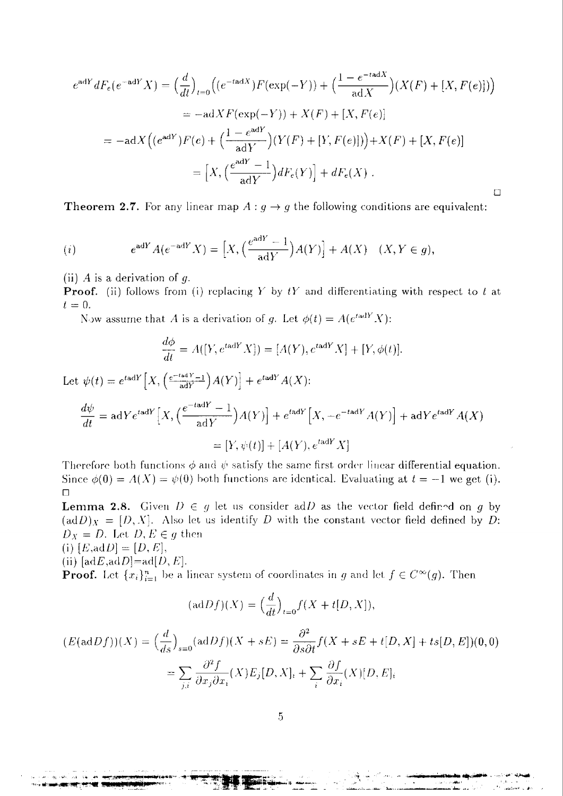$$
e^{adY}dF_e(e^{-adY}X) = \left(\frac{d}{dt}\right)_{t=0} \left((e^{-tadX})F(\exp(-Y)) + \left(\frac{1 - e^{-tadX}}{adX}\right)(X(F) + [X, F(e)])\right)
$$
  

$$
= -adXF(\exp(-Y)) + X(F) + [X, F(e)]
$$
  

$$
= -adX\left((e^{adY})F(e) + \left(\frac{1 - e^{adY}}{adY}\right)(Y(F) + [Y, F(e)])\right) + X(F) + [X, F(e)]
$$
  

$$
= \left[X, \left(\frac{e^{adY} - 1}{adY}\right)dF_e(Y)\right] + dF_e(X) .
$$

**Theorem 2.7.** For any linear map  $A: g \to g$  the following conditions are equivalent:

$$
(i) \t e^{adY} A(e^{-adY} X) = \left[ X, \left( \frac{e^{adY} - 1}{adY} \right) A(Y) \right] + A(X) \quad (X, Y \in g),
$$

(ii)  $A$  is a derivation of  $q$ .

**Proof,** (ii) follows from (i) replacing *Y* by *tY* and differentiating with respect to *t* at  $t = 0.$ 

Now assume that *A* is a derivation of *g*. Let  $\phi(t) = A(e^{t \text{ad}Y}X)$ :

$$
\frac{d\phi}{dt} = A([Y, e^{tadY}X]) = [A(Y), e^{tadY}X] + [Y, \phi(t)].
$$

Let  $\psi(t) = e^{t \text{ad}Y} \left[ X, \left( \frac{e^{-t \text{ad}Y} - 1}{\text{ad}Y} \right) A(Y) \right] + e^{t \text{ad}Y} A(X)$ :

$$
\frac{d\psi}{dt} = \text{ad}Y e^{\text{tad}Y} \Big[ X, \Big( \frac{e^{-\text{tad}Y} - 1}{\text{ad}Y} \Big) A(Y) \Big] + e^{\text{tad}Y} \Big[ X, -e^{-\text{tad}Y} A(Y) \Big] + \text{ad}Y e^{\text{tad}Y} A(X)
$$

$$
= [Y, \psi(t)] + [A(Y), e^{\text{tad}Y} X]
$$

Therefore both functions  $\phi$  and  $\psi$  satisfy the same first order linear differential equation. Since  $\phi(0) = A(X) = \psi(0)$  both functions are identical. Evaluating at  $t = -1$  we get (i).  $\Box$ 

**Lemma 2.8.** Given  $D \in g$  let us consider ad D as the vector field defined on q by  $(\text{ad}D)_X = [D, X]$ . Also let us identify D with the constant vector field defined by D:  $D_X = D$ . Let  $D, E \in g$  then

(i)  $[E, adD] = [D, E],$ 

(ii) 
$$
[\text{ad}E, \text{ad}D] = \text{ad}[D, E].
$$

**Proof.** Let  $\{x_i\}_{i=1}^n$  be a linear system of coordinates in g and let  $f \in C^{\infty}(g)$ . Then

$$
(\mathrm{ad}Df)(X) = \left(\frac{d}{dt}\right)_{t=0} f(X+t[D,X]),
$$

$$
(E(\text{ad}Df))(X) = \left(\frac{d}{ds}\right)_{s=0} (\text{ad}Df)(X+sE) = \frac{\partial^2}{\partial s \partial t} f(X+sE+t[D,X]+ts[D,E])(0,0)
$$

$$
= \sum_{j,i} \frac{\partial^2 f}{\partial x_j \partial x_i}(X) E_j[D,X]_i + \sum_i \frac{\partial f}{\partial x_i}(X)[D,E]_i
$$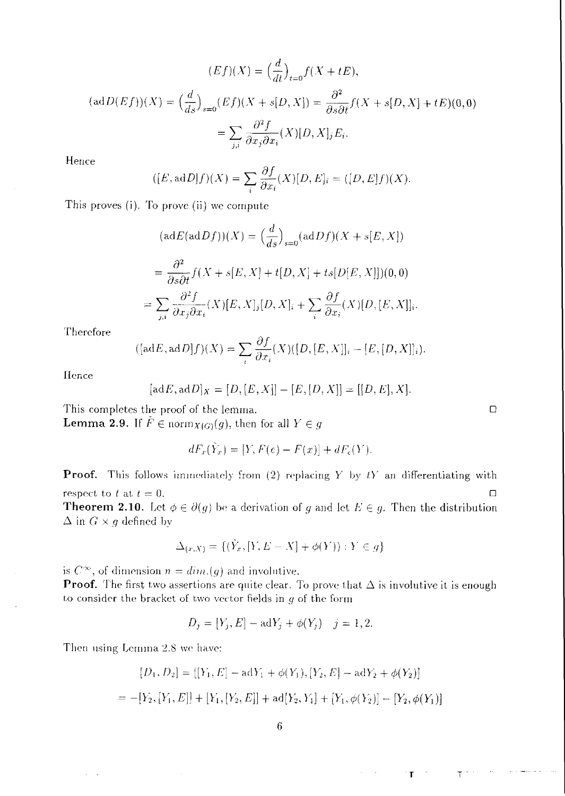$$
(Ef)(X) = \left(\frac{d}{dt}\right)_{t=0} f(X + tE),
$$

$$
(\text{ad}D(Ef))(X) = \left(\frac{d}{ds}\right)_{s=0} (Ef)(X + s[D, X]) = \frac{\partial^2}{\partial s \partial t} f(X + s[D, X] + tE)(0, 0)
$$

$$
= \sum_{j,i} \frac{\partial^2 f}{\partial x_j \partial x_i}(X)[D, X]_j E_i.
$$

Hence

$$
([E, \mathrm{ad}D]f)(X) = \sum_{i} \frac{\partial f}{\partial x_i}(X)[D, E]_i = ([D, E]f)(X).
$$

This proves (i). To prove (ii) we compute

$$
(\text{ad}E(\text{ad}Df))(X) = \left(\frac{d}{ds}\right)_{s=0} (\text{ad}Df)(X + s[E, X])
$$
  
= 
$$
\frac{\partial^2}{\partial s \partial t} f(X + s[E, X] + t[D, X] + ts[D[E, X]])(0, 0)
$$
  
= 
$$
\sum_{j,i} \frac{\partial^2 f}{\partial x_j \partial x_i}(X)[E, X]_j[D, X]_i + \sum_i \frac{\partial f}{\partial x_i}(X)[D, [E, X]]_i.
$$

Therefore

$$
([\text{ad}E, \text{ad}D]f)(X) = \sum_{i} \frac{\partial f}{\partial x_i}(X)([D, [E, X]]_i - [E, [D, X]]_i).
$$

Hence

$$
[\mathrm{ad}E, \mathrm{ad}D]_X = [D, [E, X]] - [E, [D, X]] = [[D, E], X].
$$

This completes the proof of the lemma.  $\Box$ 

**Lemma 2.9.** If  $\tilde{F} \in \text{norm}_{X(G)}(g)$ , then for all  $Y \in g$ 

$$
dF_x(\tilde{Y}_x) = [Y, F(e) - F(x)] + dF_e(Y).
$$

**Proof.** This follows immediately from (2) replacing Y by tY an differentiating with respect to  $t$  at  $t = 0$ . **Theorem 2.10.** Let  $\phi \in \partial(g)$  be a derivation of g and let  $E \in g$ . Then the distribution

 $\Delta$  in  $G \times g$  defined by

$$
\Delta_{(x,X)} = \{ (\tilde{Y}_x, [Y, E - X] + \phi(Y)) : Y \in g \}
$$

is  $C^{\infty}$ , of dimension  $n = dim.(g)$  and involutive.

**Proof.** The first two assertions are quite clear. To prove that  $\Delta$  is involutive it is enough to consider the bracket of two vector fields in *g* of the form

$$
D_j = [Y_j, E] - adY_j + \phi(Y_j) \quad j = 1, 2.
$$

Then using Lemma 2.8 we have:

$$
[D_1, D_2] = [[Y_1, E] - adY_1 + \phi(Y_1), [Y_2, E] - adY_2 + \phi(Y_2)]
$$
  
= 
$$
-[Y_2, [Y_1, E]] + [Y_1, [Y_2, E]] + ad[Y_2, Y_1] + [Y_1, \phi(Y_2)] - [Y_2, \phi(Y_1)]
$$

 $T^{\text{max}}$ 

 $\mathbf{T}$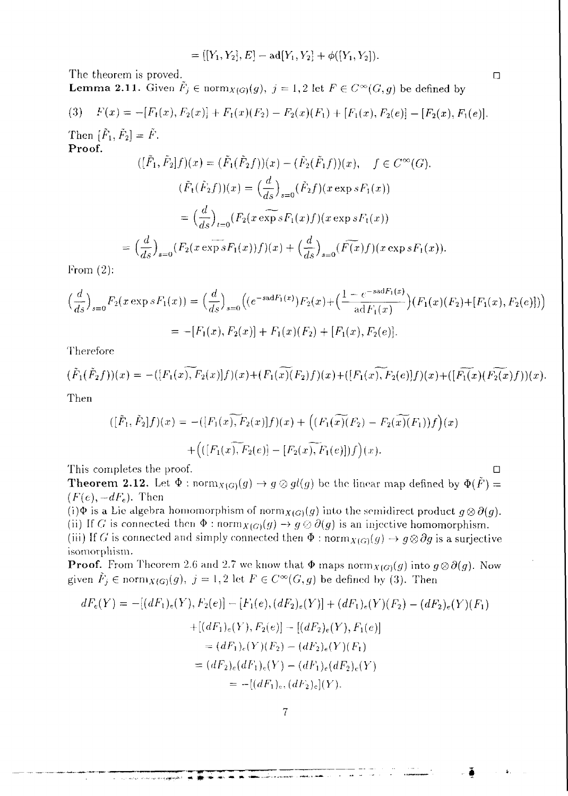$$
= [[Y_1, Y_2], E] - ad[Y_1, Y_2] + \phi([Y_1, Y_2]).
$$

The theorem is proved.

Lemma 2.11. Given  $\tilde{F}_j \in \text{norm}_{X(G)}(g),\; j=1,2$  let  $F \in C^\infty(G,g)$  be defined by

(3) 
$$
F(x) = -[F_1(x), F_2(x)] + F_1(x)(F_2) - F_2(x)(F_1) + [F_1(x), F_2(e)] - [F_2(x), F_1(e)].
$$

Then  $[F_1, F_2] = F$ . **Proof.**

$$
([\tilde{F}_1, \tilde{F}_2]f)(x) = (\tilde{F}_1(\tilde{F}_2 f))(x) - (\tilde{F}_2(\tilde{F}_1 f))(x), \quad f \in C^{\infty}(G).
$$
  

$$
(\tilde{F}_1(\tilde{F}_2 f))(x) = \left(\frac{d}{ds}\right)_{s=0} (\tilde{F}_2 f)(x \exp sF_1(x))
$$
  

$$
= \left(\frac{d}{ds}\right)_{t=0} (F_2(x \exp sF_1(x)f)(x \exp sF_1(x))
$$
  

$$
= \left(\frac{d}{ds}\right)_{s=0} (F_2(x \exp sF_1(x))f)(x) + \left(\frac{d}{ds}\right)_{s=0} (\widetilde{F(x)}f)(x \exp sF_1(x))
$$

From (2):

$$
\left(\frac{d}{ds}\right)_{s=0} F_2(x \exp sF_1(x)) = \left(\frac{d}{ds}\right)_{s=0} \left( \left(e^{-sadF_1(x)}\right) F_2(x) + \left(\frac{1 - e^{-sadF_1(x)}}{adF_1(x)}\right) \left(F_1(x)(F_2) + [F_1(x), F_2(e)]\right) \right)
$$

$$
= -[F_1(x), F_2(x)] + F_1(x)(F_2) + [F_1(x), F_2(e)].
$$

Therefore

$$
(\tilde{F}_1(\tilde{F}_2f))(x) = -([F_1(x), F_2(x)]f)(x) + (F_1(x)(F_2)f)(x) + ([F_1(x), F_2(e)]f)(x) + ([\tilde{F_1(x)}(F_2(x)f))(x).
$$
  
Then

Then

$$
([\tilde{F}_1, \tilde{F}_2]f)(x) = -([F_1(x), \tilde{F}_2(x)]f)(x) + ((F_1(x)(\tilde{F}_2) - F_2(x)(\tilde{F}_1))f)(x) + (([F_1(x), \tilde{F}_2(e)] - [F_2(x), \tilde{F}_1(e)])f)(x).
$$

This completes the proof.  $\Box$ 

**Theorem 2.12.** Let  $\Phi : \text{norm}_{X(G)}(g) \to g \otimes gl(g)$  be the linear map defined by  $\Phi(\tilde{F}) =$  $(F(e),-dF_e)$ . Then

(i) $\Phi$  is a Lie algebra homomorphism of norm $_{X(G)}(g)$  into the semidirect product  $g \otimes \partial(g)$ . (ii) If G is connected then  $\Phi: \text{norm}_{X(G)}(g) \to g \otimes \partial(g)$  is an injective homomorphism. (iii) If G is connected and simply connected then  $\Phi : \text{norm}_{X(G)}(g) \to g \otimes \partial g$  is a surjective isomorphism.

**Proof.** From Theorem 2.6 and 2.7 we know that  $\Phi$  maps norm $_{X(G)}(g)$  into  $g \otimes \partial(g)$ . Now given  $\tilde{F}_j \in \text{norm}_{X(G)}(g), j = 1,2$  let  $F \in C^{\infty}(G,g)$  be defined by (3). Then

$$
dF_e(Y) = -[(dF_1)_e(Y), F_2(e)] - [F_1(e), (dF_2)_e(Y)] + (dF_1)_e(Y)(F_2) - (dF_2)_e(Y)(F_1)
$$
  
+ 
$$
[(dF_1)_e(Y), F_2(e)] - [(dF_2)_e(Y), F_1(e)]
$$
  
= 
$$
(dF_1)_e(Y)(F_2) - (dF_2)_e(Y)(F_1)
$$
  
= 
$$
(dF_2)_e(dF_1)_e(Y) - (dF_1)_e(dF_2)_e(Y)
$$
  
= 
$$
-[ (dF_1)_e, (dF_2)_e](Y).
$$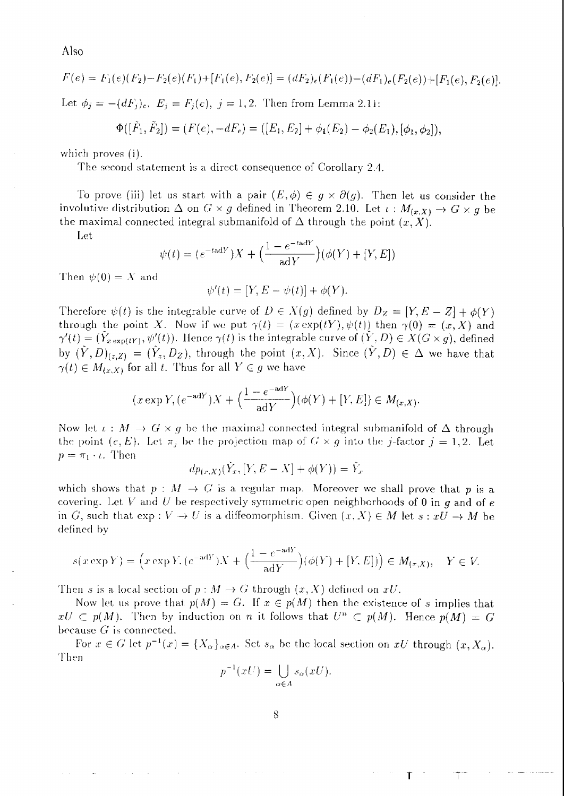Also

$$
F(e) = F_1(e)(F_2) - F_2(e)(F_1) + [F_1(e), F_2(e)] = (dF_2)_e(F_1(e)) - (dF_1)_e(F_2(e)) + [F_1(e), F_2(e)].
$$
  
Let  $\phi_1 = (dF_1) - F_1 = F(e)$ ,  $\phi_1 = 1, 2$ . Then from Lemma 2.11.

 $(- (dF_j)_e, E_j = F_j(e), j = 1, 2.$  Then from Lemma 2.11:

$$
\Phi([F_1, F_2]) = (F(e), -dF_e) = ([E_1, E_2] + \phi_1(E_2) - \phi_2(E_1), [\phi_1, \phi_2]),
$$

which proves (i).

The second statement is a direct consequence of Corollary 2.1.

To prove (iii) let us start with a pair  $(E, \phi) \in g \times \partial(g)$ . Then let us consider the involutive distribution  $\Delta$  on  $G \times g$  defined in Theorem 2.10. Let  $\iota : M_{(x,X)} \to G \times g$  be the maximal connected integral submanifold of  $\Delta$  through the point  $(x, X)$ .

Let

$$
\psi(t) = (e^{-t \text{ad}Y})X + \left(\frac{1 - e^{-t \text{ad}Y}}{\text{ad}Y}\right)(\phi(Y) + [Y, E])
$$

Then  $\psi(0) = X$  and

$$
\psi'(t) = [Y, E - \psi(t)] + \phi(Y).
$$

Therefore  $\psi(t)$  is the integrable curve of  $D \in X(g)$  defined by  $D_Z = [Y, E - Z] + \phi(Y)$ through the point X. Now if we put  $\gamma(t) = (x \exp(tY), \psi(t))$  then  $\gamma(0) = (x, X)$  and  $\gamma'(t) = (Y_{x\exp(tY)}, \psi'(t)).$  Hence  $\gamma(t)$  is the integrable curve of  $(Y,D)\in X(G\times g),$  defined by  $(\tilde{Y}, D)_{(z,Z)} = (\tilde{Y}_z, D_Z)$ , through the point  $(x, X)$ . Since  $(\tilde{Y}, D) \in \Delta$  we have that  $\gamma(t) \in M_{(x,X)}$  for all t. Thus for all  $Y \in g$  we have

$$
(x \exp Y, (e^{-adY})X + (\frac{1 - e^{-adY}}{adY})(\phi(Y) + [Y, E]) \in M_{(x,X)}
$$

Now let  $\iota : M \to G \times g$  be the maximal connected integral submanifold of  $\Delta$  through the point  $(e, E)$ . Let  $\pi_j$  be the projection map of  $G \times g$  into the j-factor  $j = 1, 2$ . Let  $p = \pi_1 \cdot \iota$ . Then

$$
dp_{(x,X)}(\tilde{Y}_x,[Y,E-X]+\phi(Y))=\tilde{Y}_x
$$

which shows that  $p : M \to G$  is a regular map. Moreover we shall prove that p is a covering. Let V and U be respectively symmetric open neighborhoods of 0 in  $q$  and of  $e$ in G, such that  $\exp: V \to U$  is a diffeomorphism. Given  $(x, X) \in M$  let  $s: xU \to M$  be defined by

$$
s(x \exp Y) = \left(x \exp Y, (e^{-adY})X + \left(\frac{1 - e^{-adY}}{adY}\right)(\phi(Y) + [Y, E])\right) \in M_{(x,X)}, \quad Y \in V.
$$

Then s is a local section of  $p : M \to G$  through  $(x, X)$  defined on  $xU$ .

 $\sim 10^6$ 

 $\sim 10^{-1}$ 

Now let us prove that  $p(M) = G$ . If  $x \in p(M)$  then the existence of *s* implies that  $xU \subset p(M)$ . Then by induction on *n* it follows that  $U^n \subset p(M)$ . Hence  $p(M) = G$ because G is connected.

For  $x \in G$  let  $p^{-1}(x) = \{X_{\alpha}\}_{\alpha \in A}$ . Set  $s_{\alpha}$  be the local section on  $xU$  through  $(x, X_{\alpha})$ . Then

$$
p^{-1}(xt^{j}) = \bigcup_{\alpha \in A} s_{\alpha}(xt^{j}).
$$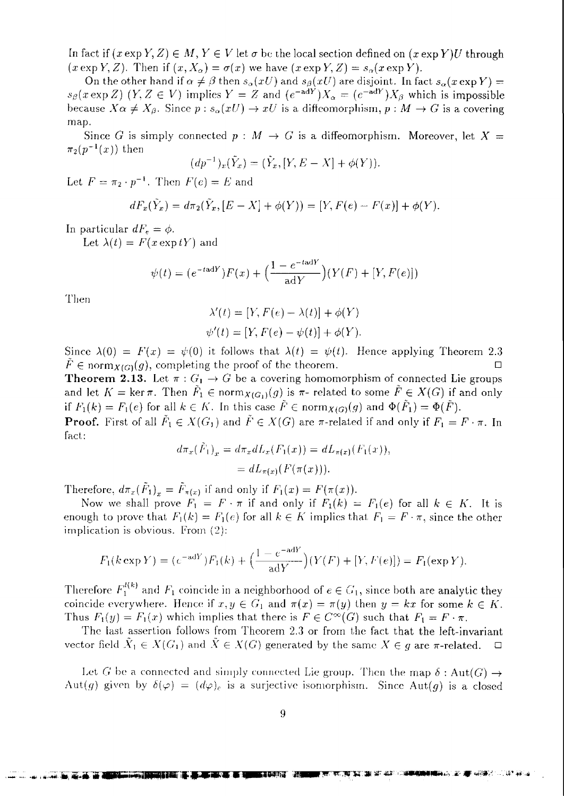In fact if  $(x \exp Y, Z) \in M$ ,  $Y \in V$  let  $\sigma$  be the local section defined on  $(x \exp Y)U$  through  $(x \exp Y, Z)$ . Then if  $(x, X_\alpha) = \sigma(x)$  we have  $(x \exp Y, Z) = s_\alpha(x \exp Y)$ .

On the other hand if  $\alpha \neq \beta$  then  $s_{\alpha}(xU)$  and  $s_{\beta}(xU)$  are disjoint. In fact  $s_{\alpha}(x \exp Y) =$  $s_{\beta}(x \exp Z)$   $(Y, Z \in V)$  implies  $Y = Z$  and  $(e^{-a\tilde{d}Y})X_{\alpha} = (e^{-a dY})X_{\beta}$  which is impossible because  $X\alpha \neq X_{\beta}$ . Since  $p : s_{\alpha}(xU) \rightarrow xU$  is a diffeomorphism,  $p : M \rightarrow G$  is a covering map.

Since *G* is simply connected  $p : M \to G$  is a diffeomorphism. Moreover, let  $X =$  $\pi_2(p^{-1}(x))$  then

$$
(dp^{-1})_{x}(\tilde{Y}_{x}) = (\tilde{Y}_{x}, [Y, E - X] + \phi(Y)).
$$

Let  $F = \pi_2 \cdot p^{-1}$ . Then  $F(e) = E$  and

$$
dF_x(\tilde{Y}_x) = d\pi_2(\tilde{Y}_x, [E - X] + \phi(Y)) = [Y, F(e) - F(x)] + \phi(Y).
$$

In particular  $dF_e = \phi$ .

Let  $\lambda(t) = F(x \exp tY)$  and

$$
\psi(t) = (e^{-tadY})F(x) + \left(\frac{1 - e^{-tadY}}{adY}\right)(Y(F) + [Y, F(e)])
$$

Then

$$
\lambda'(t) = [Y, F(e) - \lambda(t)] + \phi(Y)
$$
  

$$
\psi'(t) = [Y, F(e) - \psi(t)] + \phi(Y).
$$

Since  $\lambda(0) = F(x) = \psi(0)$  it follows that  $\lambda(t) = \psi(t)$ . Hence applying Theorem 2.3  $\tilde{F} \in \text{norm}_{X(G)}(g)$ , completing the proof of the theorem.

**Theorem 2.13.** Let  $\pi: G_1 \to G$  be a covering homomorphism of connected Lie groups and let  $K = \ker \pi$ . Then  $\tilde{F}_1 \in \operatorname{norm}_{X(G_1)}(g)$  is  $\pi$ - related to some  $\tilde{F} \in X(G)$  if and only if  $F_1(k) = F_1(e)$  for all  $k \in K$ . In this case  $\tilde{F} \in \text{norm}_{X(G)}(g)$  and  $\Phi(\tilde{F}_1) = \Phi(\tilde{F})$ .

**Proof.** First of all  $\tilde{F}_1 \in X(G_1)$  and  $\tilde{F} \in X(G)$  are  $\pi$ -related if and only if  $F_1 = F \cdot \pi$ . In fact:

$$
d\pi_x(F_1)_x = d\pi_x dL_x(F_1(x)) = dL_{\pi(x)}(F_1(x)),
$$
  
= 
$$
dL_{\pi(x)}(F(\pi(x))).
$$

Therefore,  $d\pi_x(\tilde{F}_1)^{\dagger} = \tilde{F}_{\pi(x)}$  if and only if  $F_1(x) = F(\pi(x)).$ 

Now we shall prove  $F_1 = F \cdot \pi$  if and only if  $F_1(k) = F_1(e)$  for all  $k \in K$ . It is enough to prove that  $F_1(k) = F_1(e)$  for all  $k \in K$  implies that  $F_1 = F \cdot \pi$ , since the other implication is obvious. From (2):

$$
F_1(k \exp Y) = (e^{-adY})F_1(k) + \left(\frac{1 - e^{-adY}}{adY}\right)(Y(F) + [Y, F(e)]) = F_1(\exp Y).
$$

Therefore  $F_1^{l(k)}$  and  $F_1$  coincide in a neighborhood of  $e \in G_1$ , since both are analytic they coincide everywhere. Hence if  $x, y \in G_1$  and  $\pi(x) = \pi(y)$  then  $y = kx$  for some  $k \in K$ . Thus  $F_1(y) = F_1(x)$  which implies that there is  $F \in C^{\infty}(G)$  such that  $F_1 = F \cdot \pi$ .

The last assertion follows from Theorem 2.3 or from the fact that the left-invariant vector field  $\tilde{X}_1 \in X(G_1)$  and  $\tilde{X} \in X(G)$  generated by the same  $X \in q$  are  $\pi$ -related.  $\Box$ 

Let G be a connected and simply connected Lie group. Then the map  $\delta : \text{Aut}(G) \rightarrow$ Aut(g) given by  $\delta(\varphi) = (d\varphi)_e$  is a surjective isomorphism. Since Aut(g) is a closed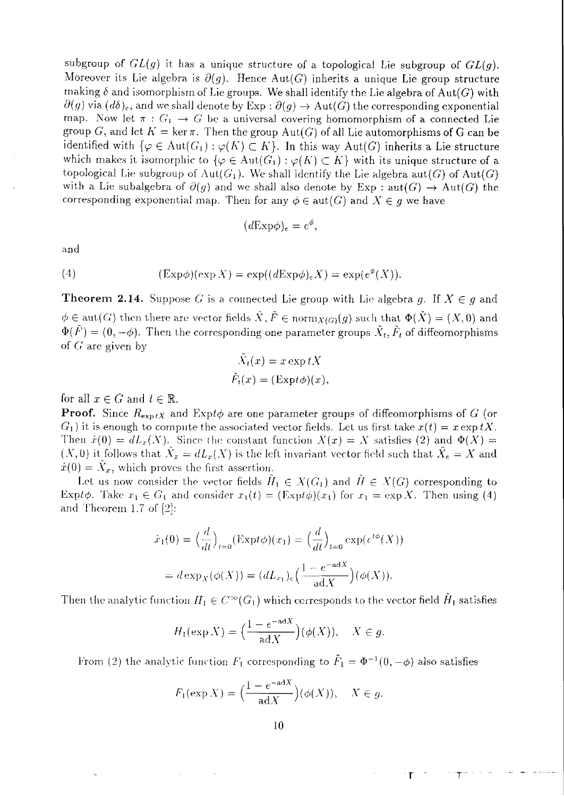subgroup of *GL(g)* it has a unique structure of a topological Lie subgroup of *GL(g).* Moreover its Lie algebra is  $\partial(q)$ . Hence Aut(G) inherits a unique Lie group structure making  $\delta$  and isomorphism of Lie groups. We shall identify the Lie algebra of Aut*(G)* with  $\partial(g)$  via  $(d\delta)_e$ , and we shall denote by Exp :  $\partial(g) \to \text{Aut}(G)$  the corresponding exponential map. Now let  $\pi: G_1 \to G$  be a universal covering homomorphism of a connected Lie group G, and let  $K = \ker \pi$ . Then the group  $\mathrm{Aut}(G)$  of all Lie automorphisms of G can be identified with  $\{\varphi \in \text{Aut}(G_1) : \varphi(K) \subset K\}$ . In this way  $\text{Aut}(G)$  inherits a Lie structure which makes it isomorphic to  $\{\varphi \in Aut(G_1) : \varphi(K) \subset K\}$  with its unique structure of a topological Lie subgroup of  $\text{Aut}(G_1)$ . We shall identify the Lie algebra  $\text{aut}(G)$  of  $\text{Aut}(G)$ with a Lie subalgebra of  $\partial(g)$  and we shall also denote by Exp :  $\text{aut}(G) \to \text{Aut}(G)$  the corresponding exponential map. Then for any  $\phi \in \text{aut}(G)$  and  $X \in g$  we have

$$
(d\mathrm{Exp}\phi)_e = e^{\phi},
$$

and

(4) 
$$
(\text{Exp}\phi)(\exp X) = \exp((d\text{Exp}\phi)_e X) = \exp(e^{\phi}(X)).
$$

**Theorem 2.14.** Suppose G is a connected Lie group with Lie algebra q. If  $X \in q$  and  $\phi \in \text{aut}(G)$  then there are vector fields  $\tilde{X}, \tilde{F} \in \text{norm}_{X(G)}(g)$  such that  $\Phi(\tilde{X}) = (X, 0)$  and  $\Phi(\tilde{F}) = (0,-\phi).$  Then the corresponding one parameter groups  $\tilde{X}_t, \tilde{F}_t$  of diffeomorphisms of  $G$  are given by

$$
\tilde{X}_t(x) = x \exp tX
$$
  

$$
\tilde{F}_t(x) = (\text{Exp}t\phi)(x),
$$

for all  $x \in G$  and  $t \in \mathbb{R}$ .

**Proof.** Since  $R_{\text{expt}}$  and  $\text{Exp}(t\phi)$  are one parameter groups of diffeomorphisms of *G* (or  $G_1$ ) it is enough to compute the associated vector fields. Let us first take  $x(t) = x \exp tX$ . Then  $\dot{x}(0) = dL_x(X)$ . Since the constant function  $X(x) = X$  satisfies (2) and  $\Phi(X) =$  $(X,0)$  it follows that  $\tilde{X}_T = dL_x(X)$  is the left invariant vector field such that  $\tilde{X}_e = X$  and  $\dot{x}(0) = X_x$ , which proves the first assertion.

Let us now consider the vector fields  $\tilde{H}_1 \in X(G_1)$  and  $\tilde{H} \in X(G)$  corresponding to Expt $\phi$ . Take  $x_1 \in G_1$  and consider  $x_1(t) = (\text{Exp}(t)(x_1))$  for  $x_1 = \exp X$ . Then using (4) and Theorem 1.7 of [2]:

$$
\dot{x}_1(0) = \left(\frac{d}{dt}\right)_{t=0} (\text{Expt}\phi)(x_1) = \left(\frac{d}{dt}\right)_{t=0} \exp(e^{t\phi}(X))
$$

$$
= d \exp_X(\phi(X)) = (dL_{x_1})_e \left(\frac{1 - e^{-adX}}{adX}\right) (\phi(X)).
$$

Then the analytic function  $H_1 \in C^\infty(G_1)$  which corresponds to the vector field  $\tilde{H}_1$  satisfies

$$
H_1(\exp X) = \Big(\frac{1 - e^{-adX}}{adX}\Big)(\phi(X)), \quad X \in g.
$$

From (2) the analytic function  $F_1$  corresponding to  $\tilde{F}_1 = \Phi^{-1}(0, -\phi)$  also satisfies

$$
F_1(\exp X) = \Big(\frac{1 - e^{-adX}}{adX}\Big)(\phi(X)), \quad X \in g.
$$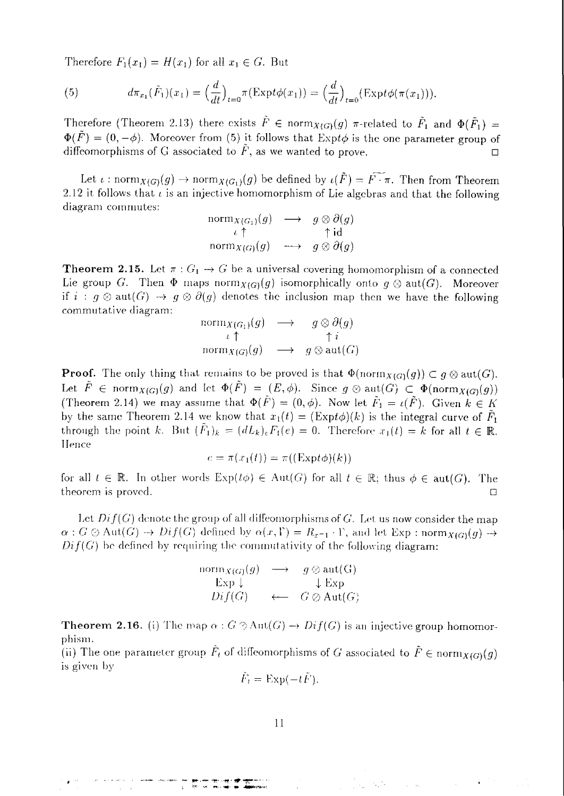Therefore  $F_1(x_1) = H(x_1)$  for all  $x_1 \in G$ . But

(5) 
$$
d\pi_{x_1}(\tilde{F}_1)(x_1) = \left(\frac{d}{dt}\right)_{t=0} \pi(\text{Exp}t\phi(x_1)) = \left(\frac{d}{dt}\right)_{t=0} (\text{Exp}t\phi(\pi(x_1))).
$$

Therefore (Theorem 2.13) there exists  $\tilde{F} \in \text{norm}_{X(G)}(g)$   $\pi$ -related to  $\tilde{F}_1$  and  $\Phi(\tilde{F}_1)$  $\Phi(\tilde{F}) = (0, -\phi)$ . Moreover from (5) it follows that  $Expt\phi$  is the one parameter group of diffeomorphisms of G associated to  $\tilde{F}$ , as we wanted to prove.

Let  $\iota$  : norm $\chi_{(G)}(q) \to \text{norm}_{\chi(G_1)}(q)$  be defined by  $\iota(\tilde{F}) = \widetilde{F \cdot \pi}$ . Then from Theorem 2.12 it follows that  $i$  is an injective homomorphism of Lie algebras and that the following diagram commutes:

$$
\begin{array}{ccc}\n\operatorname{norm}_{X(G_1)}(g) & \longrightarrow & g \otimes \partial(g) \\
\iota \uparrow & & \uparrow \operatorname{id} \\
\operatorname{norm}_{X(G)}(g) & \longrightarrow & g \otimes \partial(g)\n\end{array}
$$

**Theorem 2.15.** Let  $\pi: G_1 \to G$  be a universal covering homomorphism of a connected Lie group G. Then  $\Phi$  maps norm<sub> $X(G)(g)$ </sub> isomorphically onto  $g \otimes \text{aut}(G)$ . Moreover if  $i : g \otimes \text{aut}(G) \rightarrow g \otimes \partial(g)$  denotes the inclusion map then we have the following commutative diagram:

$$
\begin{array}{ccc}\n\operatorname{norm}_{X(G_1)}(g) & \longrightarrow & g \otimes \partial(g) \\
\iota \uparrow & & \uparrow i \\
\operatorname{norm}_{X(G)}(g) & \longrightarrow & g \otimes \operatorname{aut}(G)\n\end{array}
$$

**Proof.** The only thing that remains to be proved is that  $\Phi(\text{norm}_{X(G)}(g)) \subset g \otimes \text{aut}(G)$ . Let  $\tilde{F} \in \text{norm}_{X(G)}(g)$  and let  $\Phi(\tilde{F}) = (E, \phi)$ . Since  $g \otimes \text{aut}(G) \subset \Phi(\text{norm}_{X(G)}(g))$ (Theorem 2.14) we may assume that  $\Phi(\tilde{F}) = (0, \phi)$ . Now let  $\tilde{F}_1 = \iota(\tilde{F})$ . Given  $k \in K$ by the same Theorem 2.14 we know that  $x_1(t) = (\text{Exp}(t)/k)$  is the integral curve of  $\tilde{F}_1$ through the point k. But  $(F_1)_k = (dL_k)_e F_1(e) = 0$ . Therefore  $x_1(t) = k$  for all  $t \in \mathbb{R}$ . Hence

$$
e = \pi(x_1(t)) = \pi((\text{Expt}\phi)(k))
$$

for all  $t \in \mathbb{R}$ . In other words  $Exp(t\phi) \in Aut(G)$  for all  $t \in \mathbb{R}$ ; thus  $\phi \in aut(G)$ . The theorem is proved.  $\Box$ 

Let *Dif(G)* denote the group of all diffeomorphisms of *G.* Let us now consider the map  $\alpha$  :  $G \otimes \text{Aut}(G) \to \text{Diff}(G)$  defined by  $\alpha(x, \Gamma) = R_{x^+1} \cdot \Gamma$ , and let  $\text{Exp}: \text{norm}_{X(G)}(g) \to$  $Diff(G)$  be defined by requiring the commutativity of the following diagram:

$$
\begin{array}{ccc}\n\operatorname{norm}_{X(G)}(g) & \longrightarrow & g \otimes \operatorname{aut}(G) \\
\operatorname{Exp} \downarrow & & \downarrow \operatorname{Exp} \\
\hline\nDi{f(G)} & \longleftarrow & G \otimes \operatorname{Aut}(G)\n\end{array}
$$

**Theorem 2.16.** (i) The map  $\alpha$  :  $G \otimes \text{Aut}(G) \rightarrow Diff(G)$  is an injective group homomorphism.

(ii) The one parameter group  $\tilde{F}_t$  of diffeomorphisms of G associated to  $\tilde{F} \in \text{norm}_{X(G)}(q)$ is given by

$$
\tilde{F}_t = \operatorname{Exp}(-t\tilde{F}).
$$

 $\mathcal{O}(\sqrt{2\pi})$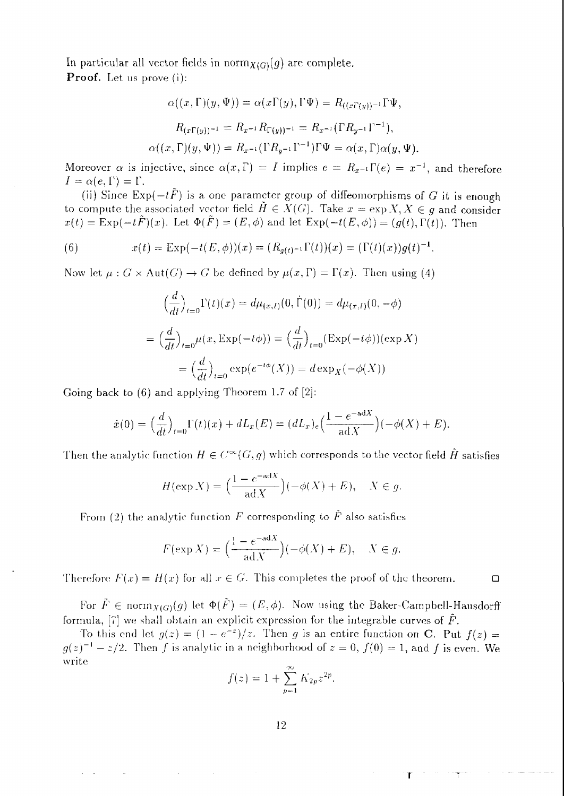In particular all vector fields in norm $\chi_{(G)}(q)$  are complete. **Proof.** Let us prove (i):

 $\alpha$ 

$$
\alpha((x, \Gamma)(y, \Psi)) = \alpha(x\Gamma(y), \Gamma\Psi) = R_{((x\Gamma(y))^{-1}}\Gamma\Psi,
$$
  
\n
$$
R_{(x\Gamma(y))^{-1}} = R_{x^{-1}}R_{\Gamma(y))^{-1}} = R_{x^{-1}}(\Gamma R_{y^{-1}}\Gamma^{-1}),
$$
  
\n
$$
((x, \Gamma)(y, \Psi)) = R_{x^{-1}}(\Gamma R_{y^{-1}}\Gamma^{-1})\Gamma\Psi = \alpha(x, \Gamma)\alpha(y, \Psi)
$$

Moreover  $\alpha$  is injective, since  $\alpha(x,\Gamma) = I$  implies  $e = R_{x^{-1}}\Gamma(e) = x^{-1}$ , and therefore  $I = \alpha(e, \Gamma) = \Gamma$ .

(ii) Since  $Exp(-t\tilde{F})$  is a one parameter group of diffeomorphisms of G it is enough to compute the associated vector field  $\tilde{H} \in X(G)$ . Take  $x = \exp X, X \in g$  and consider  $x(t) = \text{Exp}(-t\tilde{F})(x)$ . Let  $\Phi(\tilde{F}) = (E,\phi)$  and let  $\text{Exp}(-t(E,\phi)) = (g(t), \Gamma(t))$ . Then

(6) 
$$
x(t) = \text{Exp}(-t(E,\phi))(x) = (R_{g(t)^{-1}}\Gamma(t))(x) = (\Gamma(t)(x))g(t)^{-1}.
$$

Now let  $\mu$  :  $G \times Aut(G) \rightarrow G$  be defined by  $\mu(x,\Gamma) = \Gamma(x)$ . Then using (4)

$$
\left(\frac{d}{dt}\right)_{t=0} \Gamma(t)(x) = d\mu_{(x,I)}(0, \dot{\Gamma}(0)) = d\mu_{(x,I)}(0, -\phi)
$$

$$
= \left(\frac{d}{dt}\right)_{t=0} \mu(x, \text{Exp}(-t\phi)) = \left(\frac{d}{dt}\right)_{t=0} (\text{Exp}(-t\phi))(\exp X)
$$

$$
= \left(\frac{d}{dt}\right)_{t=0} \exp(e^{-t\phi}(X)) = d\exp_X(-\phi(X))
$$

Going back to  $(6)$  and applying Theorem 1.7 of  $[2]$ :

$$
\dot{x}(0) = \left(\frac{d}{dt}\right)_{t=0} \Gamma(t)(x) + dL_x(E) = (dL_x)_e \left(\frac{1 - e^{-adX}}{adX}\right) (-\phi(X) + E).
$$

Then the analytic function  $H \in C^{\infty}(G, g)$  which corresponds to the vector field  $\tilde{H}$  satisfies

$$
H(\exp X) = \left(\frac{1 - e^{-adX}}{adX}\right)(-\phi(X) + E), \quad X \in g.
$$

From (2) the analytic function  $F$  corresponding to  $\tilde{F}$  also satisfies

$$
F(\exp X) = \left(\frac{1 - e^{-adX}}{adX}\right)(-\phi(X) + E), \quad X \in g.
$$

Therefore  $F(x) = H(x)$  for all  $x \in G$ . This completes the proof of the theorem.  $\square$ 

For  $\tilde{F} \in \operatorname{norm}_{X(G)}(g)$  let  $\Phi(\tilde{F}) = (E,\phi).$  Now using the Baker-Campbell-Hausdorff formula,  $[7]$  we shall obtain an explicit expression for the integrable curves of  $\tilde{F}$ .

To this end let  $g(z) = (1 - e^{-z})/z$ . Then g is an entire function on C. Put  $f(z) =$  $g(z)^{-1} - z/2$ . Then f is analytic in a neighborhood of  $z = 0$ ,  $f(0) = 1$ , and f is even. We write

$$
f(z) = 1 + \sum_{p=1}^{\infty} K_{2p} z^{2p}.
$$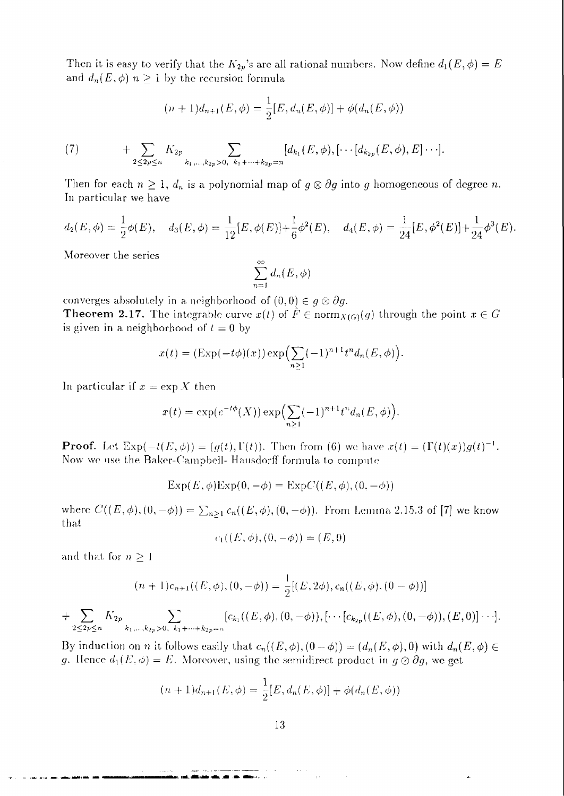Then it is easy to verify that the  $K_{2p}$ 's are all rational numbers. Now define  $d_1(E,\phi) = E$ and  $d_n(E,\phi)$   $n\geq 1$  by the recursion formula

$$
(n+1)d_{n+1}(E,\phi) = \frac{1}{2}[E,d_n(E,\phi)] + \phi(d_n(E,\phi))
$$

(7) 
$$
+ \sum_{2 \leq 2p \leq n} K_{2p} \sum_{k_1, ..., k_{2p} > 0, k_1 + ... + k_{2p} = n} [d_{k_1}(E, \phi), [\cdots [d_{k_{2p}}(E, \phi), E] \cdots].
$$

Then for each  $n \geq 1$ ,  $d_n$  is a polynomial map of  $g \otimes \partial g$  into g homogeneous of degree n. In particular we have

$$
d_2(E,\phi) = \frac{1}{2}\phi(E), \quad d_3(E,\phi) = \frac{1}{12}[E,\phi(E)] + \frac{1}{6}\phi^2(E), \quad d_4(E,\phi) = \frac{1}{24}[E,\phi^2(E)] + \frac{1}{24}\phi^3(E).
$$

Moreover the series

$$
\sum_{n=1}^{\infty} d_n(E, \phi)
$$

converges absolutely in a neighborhood of  $(0, 0) \in g \otimes \partial g$ . **Theorem 2.17.** The integrable curve  $x(t)$  of  $\tilde{F} \in \text{norm}_{X(G)}(g)$  through the point  $x \in G$ is given in a neighborhood of  $t = 0$  by

$$
x(t) = (\operatorname{Exp}(-t\phi)(x)) \exp\left(\sum_{n\geq 1} (-1)^{n+1} t^n d_n(E, \phi)\right).
$$

In particular if  $x = \exp X$  then

$$
x(t) = \exp(e^{-t\phi}(X)) \exp\Bigl(\sum_{n\geq 1} (-1)^{n+1} t^n d_n(E, \phi)\Bigr).
$$

**Proof.** Let  $Exp(-t(E,\phi)) = (g(t),\Gamma(t))$ . Then from (6) we have  $x(t) = (\Gamma(t)(x))g(t)^{-1}$ . Now we use the Baker-Campbell- Hausdorff formula to compute

$$
Exp(E, \phi)Exp(0, -\phi) = ExpC((E, \phi), (0, -\phi))
$$

where  $C((E, \phi), (0, -\phi)) = \sum_{n \geq 1} c_n((E, \phi), (0, -\phi))$ . From Lemma 2.15.3 of [7] we know that

$$
c_1((E,\phi),(0,-\phi))=(E,0)
$$

and that for  $n \geq 1$ 

$$
(n+1)c_{n+1}((E,\phi),(0,-\phi))=\frac{1}{2}[(E,2\phi),c_n((E,\phi),(0-\phi))]
$$

 $+\sum_{2\leq 2p\leq n} K_{2p} \sum_{k_1,\ldots,k_{2p}>0,\ k_1+\cdots+k_{2p}=n} [c_{k_1}((E,\phi),(0,-\phi)),[\cdots [c_{k_{2p}}((E,\phi),(0,-\phi)),(E,0)]\cdots].$ 

By induction on *n* it follows easily that  $c_n((E,\phi),(0-\phi)) = (d_n(E,\phi),0)$  with  $d_n(E,\phi) \in$ g. Hence  $d_1(E, \phi) = E$ . Moreover, using the semidirect product in  $g \otimes \partial g$ , we get

$$
(n+1)d_{n+1}(E,\phi) = \frac{1}{2}[E,d_n(E,\phi)] + \phi(d_n(E,\phi))
$$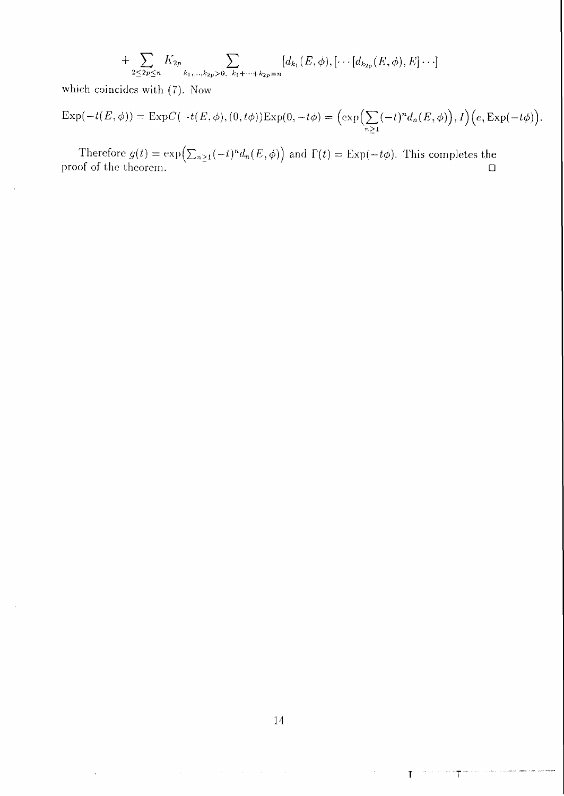$$
+\sum_{2\leq 2p\leq n} K_{2p} \sum_{k_1,\ldots,k_{2p}>0,\ k_1+\cdots+k_{2p}=n} [d_{k_1}(E,\phi),[\cdots(d_{k_{2p}}(E,\phi),E]\cdots]
$$

which coincides with (7). Now

$$
\operatorname{Exp}(-t(E,\phi)) = \operatorname{Exp}C(-t(E,\phi),(0,t\phi))\operatorname{Exp}(0,-t\phi) = \left(\exp\left(\sum_{n\geq 1}(-t)^n d_n(E,\phi)\right),I\right)\left(e,\operatorname{Exp}(-t\phi)\right)
$$

Therefore  $g(t) = \exp\left(\sum_{n\geq 1}(-t)^n d_n(E,\phi)\right)$  and  $\Gamma(t) = \text{Exp}(-t\phi)$ . This completes the proof of the theorem.  $\Box$ 

 $\sim$ 

**"T"**

 $\boldsymbol{\gamma}$ 

 $\mathsf{T}$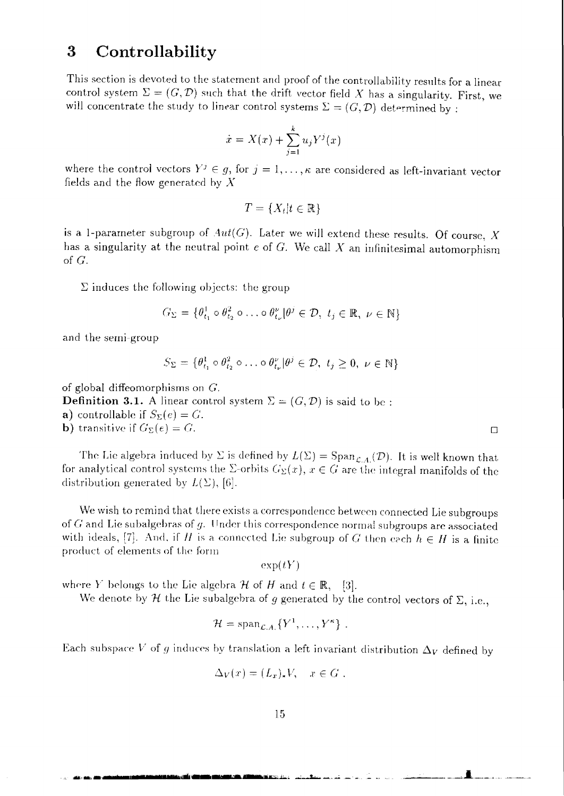# 3 Controllability

This section is devoted to the statement and proof of the controllability results for a linear control system  $\Sigma = (G, \mathcal{D})$  such that the drift vector field X has a singularity. First, we will concentrate the study to linear control systems  $\Sigma = (G, \mathcal{D})$  determined by :

$$
\dot{x} = X(x) + \sum_{j=1}^{k} u_j Y^j(x)
$$

where the control vectors  $Y^j \in g$ , for  $j = 1, \ldots, \kappa$  are considered as left-invariant vector fields and the flow generated by  $X$ 

$$
T = \{X_t | t \in \mathbb{R}\}
$$

is a 1-parameter subgroup of *Aut(G).* Later we will extend these results. Of course, *X* has a singularity at the neutral point e of *G.* We call *X* an infinitesimal automorphism of *G.*

 $\Sigma$  induces the following objects: the group

$$
G_{\Sigma} = \{ \theta_{t_1}^1 \circ \theta_{t_2}^2 \circ \ldots \circ \theta_{t_\nu}^\nu | \theta^j \in \mathcal{D}, \ t_j \in \mathbb{R}, \ \nu \in \mathbb{N} \}
$$

and the semi-group

$$
S_{\Sigma} = \{ \theta_{t_1}^1 \circ \theta_{t_2}^2 \circ \ldots \circ \theta_{t_\nu}^\nu | \theta^j \in \mathcal{D}, t_j \ge 0, \ \nu \in \mathbb{N} \}
$$

of global diffeomorphisms on *G.*

**Definition 3.1.** A linear control system  $\Sigma = (G, \mathcal{D})$  is said to be :

a) controllable if  $S_{\Sigma}(e) = G$ .

**b**) transitive if  $G_{\Sigma}(e) = G$ .

The Lie algebra induced by  $\Sigma$  is defined by  $L(\Sigma) = \text{Span}_{\mathcal{L},A}(\mathcal{D})$ . It is well known that for analytical control systems the E-orbits  $G_{\Sigma}(x)$ ,  $x \in G$  are the integral manifolds of the distribution generated by  $L(\Sigma)$ , [6].

We wish to remind that there exists a correspondence between connected Lie subgroups of *G* and Lie subalgebras of g. Under this correspondence normal subgroups are associated with ideals, [7]. And, if *H* is a connected Lie subgroup of *G* then each  $h \in H$  is a finite product of elements of the form

 $\exp(tY)$ 

where Y belongs to the Lie algebra  $\mathcal H$  of H and  $t \in \mathbb R$ , [3].

We denote by  $H$  the Lie subalgebra of g generated by the control vectors of  $\Sigma$ , i.e.,

$$
\mathcal{H} = \mathrm{span}_{\mathcal{L},A.}\{Y^1,\ldots,Y^{\kappa}\}.
$$

Each subspace V of g induces by translation a left invariant distribution  $\Delta_V$  defined by

$$
\Delta_V(x) = (L_x)_* V, \quad x \in G.
$$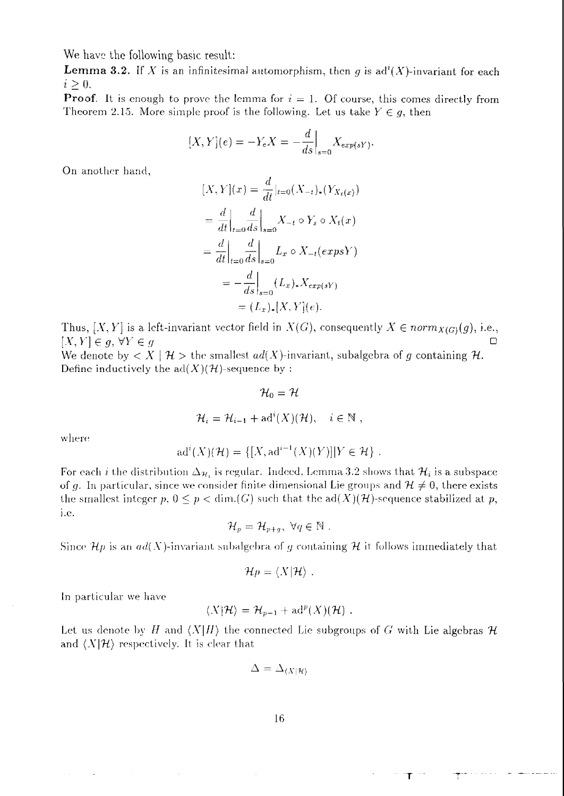We have the following basic result:

**Lemma 3.2.** If X is an infinitesimal automorphism, then g is  $ad^{i}(X)$ -invariant for each  $i \geq 0$ .

**Proof.** It is enough to prove the lemma for  $i = 1$ . Of course, this comes directly from Theorem 2.15. More simple proof is the following. Let us take  $Y \in g$ , then

$$
[X,Y](e) = -Y_e X = -\frac{d}{ds}\Big|_{s=0} X_{exp(sY)}.
$$

On another hand,

$$
[X, Y](x) = \frac{d}{dt}|_{t=0} (X_{-t})_{\star} (Y_{X_t(x)})
$$
  
\n
$$
= \frac{d}{dt}|_{t=0} \frac{d}{ds}|_{s=0} X_{-t} \circ Y_s \circ X_t(x)
$$
  
\n
$$
= \frac{d}{dt}|_{t=0} \frac{d}{ds}|_{s=0} L_x \circ X_{-t}(expsY)
$$
  
\n
$$
= -\frac{d}{ds}|_{s=0} (L_x)_{\star} X_{exp(sY)}
$$
  
\n
$$
= (L_x)_{\star} [X, Y](e).
$$

Thus,  $[X, Y]$  is a left-invariant vector field in  $X(G)$ , consequently  $X \in norm_{X(G)}(g)$ , i.e.,  $[X, Y] \in g$ ,  $\forall Y \in g$ We denote by  $\langle X | H \rangle$  the smallest  $ad(X)$ -invariant, subalgebra of q containing H.

Define inductively the  $ad(X)(\mathcal{H})$ -sequence by :

$$
\mathcal{H}_0 = \mathcal{H}
$$
  

$$
\mathcal{H}_i = \mathcal{H}_{i-1} + \mathrm{ad}^i(X)(\mathcal{H}), \quad i \in \mathbb{N},
$$

**w** here

$$
ad^{i}(X)(\mathcal{H}) = \{ [X, ad^{i-1}(X)(Y)] | Y \in \mathcal{H} \} .
$$

For each  $i$  the distribution  $\Delta_{\mathcal{H}_i}$  is regular. Indeed, Lemma 3.2 shows that  $\mathcal{H}_i$  is a subspace *of g.* In particular, since we consider finite dimensional Lie groups and  $H \neq 0$ , there exists the smallest integer p,  $0 \le p < \dim(G)$  such that the  $ad(X)(\mathcal{H})$ -sequence stabilized at p, i.e.

 $\mathcal{H}_p = \mathcal{H}_{p+q}, \ \forall q \in \mathbb{N}.$ 

Since  $\mathcal{H}p$  is an  $ad(X)$ -invariant subalgebra of g containing  $\mathcal H$  it follows immediately that

$$
\mathcal{H}p = \langle X|\mathcal{H}\rangle.
$$

In particular we have

$$
\langle X | \mathcal{H} \rangle = \mathcal{H}_{p-1} + \mathrm{ad}^p(X)(\mathcal{H})
$$

Let us denote by H and  $\langle X|H\rangle$  the connected Lie subgroups of G with Lie algebras H and  $\langle X|\mathcal{H}\rangle$  respectively. It is clear that

$$
\Delta=\Delta_{\langle X|\mathcal{H}\rangle}
$$

 $\sim$  100  $\pm$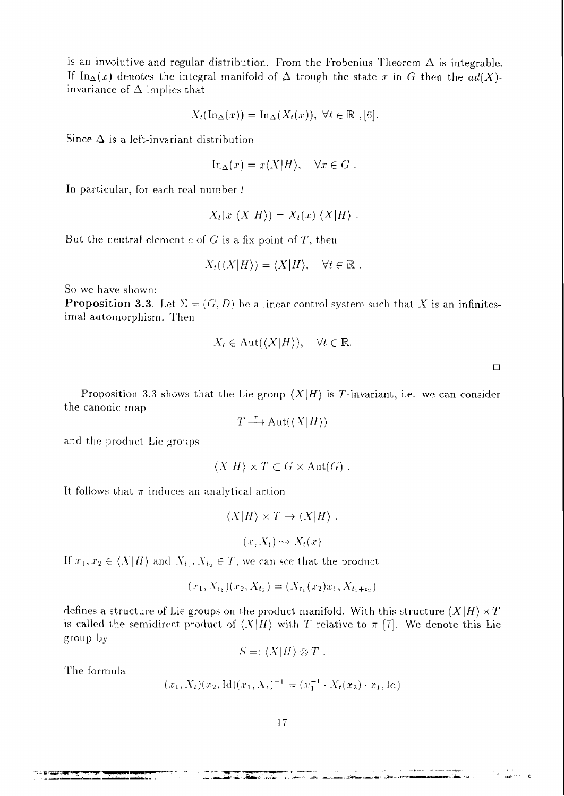is an involutive and regular distribution. From the Frobenius Theorem  $\Delta$  is integrable. If In<sub> $\Delta$ </sub>(x) denotes the integral manifold of  $\Delta$  trough the state x in G then the  $ad(X)$ invariance of  $\Delta$  implies that

$$
X_t(\text{In}_{\Delta}(x)) = \text{In}_{\Delta}(X_t(x)), \ \forall t \in \mathbb{R}, [6].
$$

Since  $\Delta$  is a left-invariant distribution

$$
\ln_{\Delta}(x) = x \langle X | H \rangle, \quad \forall x \in G.
$$

In particular, for each real number  $t$ 

$$
X_t(x \langle X|H\rangle) = X_t(x) \langle X|H\rangle.
$$

But the neutral element  $e$  of  $G$  is a fix point of  $T$ , then

$$
X_t(\langle X|H\rangle) = \langle X|H\rangle, \quad \forall t \in \mathbb{R} .
$$

So we have shown:

**Proposition 3.3.** Let  $\Sigma = (G, D)$  be a linear control system such that X is an infinitesimal automorphism. Then

$$
X_t \in \text{Aut}(\langle X | H \rangle), \quad \forall t \in \mathbb{R}.
$$

in in Sales and C

Proposition 3.3 shows that the Lie group  $\langle X|H\rangle$  is T-invariant, i.e. we can consider the canonic map

$$
T \longrightarrow \mathrm{Aut}(\langle X | H \rangle)
$$

and the product Lie groups

$$
\langle X|H\rangle \times T \subset G \times \text{Aut}(G) .
$$

It follows that  $\pi$  induces an analytical action

$$
\langle X|H\rangle \times T \to \langle X|H\rangle .
$$

$$
(x, X_t) \leadsto X_t(x)
$$

If  $x_1, x_2 \in \langle X|H\rangle$  and  $X_{t_1}, X_{t_2} \in T$ , we can see that the product.

$$
(x_1, X_{t_1})(x_2, X_{t_2}) = (X_{t_1}(x_2)x_1, X_{t_1+t_2})
$$

defines a structure of Lie groups on the product manifold. With this structure  $\langle X|H\rangle \times T$ is called the semidirect product of  $\langle X|H\rangle$  with *T* relative to  $\pi$  [7]. We denote this Lie group by

$$
S =: \langle X|H\rangle \otimes T .
$$

The formula

$$
(x_1, X_t)(x_2, \mathrm{Id})(x_1, X_t)^{-1} = (x_1^{-1} \cdot X_t(x_2) \cdot x_1, \mathrm{Id})
$$

2000 BARTASH AND AND ALL AND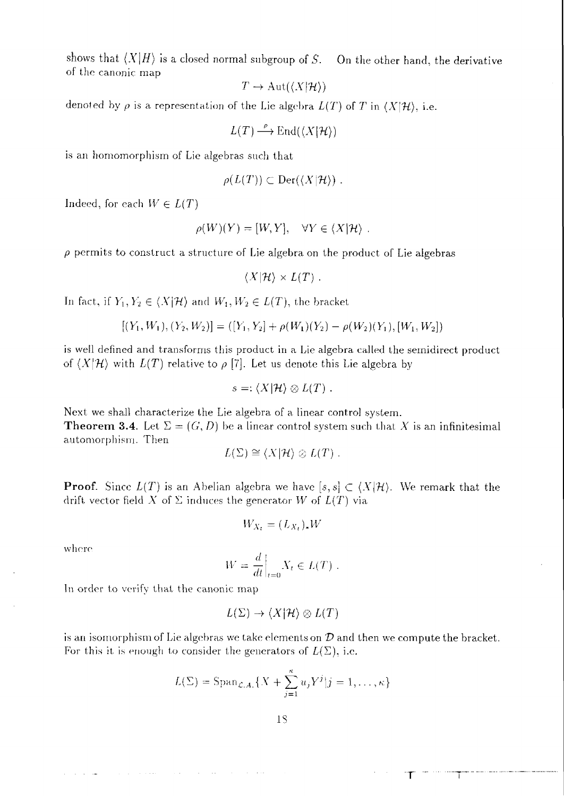shows that  $\langle X|H\rangle$  is a closed normal subgroup of *S*. On the other hand, the derivative of the canonic map

$$
T \to \mathrm{Aut}(\langle X | \mathcal{H} \rangle)
$$

denoted by  $\rho$  is a representation of the Lie algebra  $L(T)$  of T in  $\langle X|\mathcal{H}\rangle$ , i.e.

$$
L(T) \stackrel{\rho}{\longrightarrow} \mathrm{End}(\langle X | \mathcal{H} \rangle)
$$

is an hornomorphism of Lie algebras such that

$$
\rho(L(T))\subset \mathrm{Der}(\langle X|\mathcal{H}\rangle) \ .
$$

Indeed, for each  $W \in L(T)$ 

$$
\rho(W)(Y) = [W, Y], \quad \forall Y \in \langle X | \mathcal{H} \rangle \; .
$$

*p* permits to construct a structure of Lie algebra on the product of Lie algebras

 $\langle X|\mathcal{H}\rangle \times L(T)$ .

In fact, if  $Y_1, Y_2 \in \langle X | \mathcal{H} \rangle$  and  $W_1, W_2 \in L(T)$ , the bracket

$$
[(Y_1, W_1), (Y_2, W_2)] = ([Y_1, Y_2] + \rho(W_1)(Y_2) - \rho(W_2)(Y_1), [W_1, W_2])
$$

is well defined and transforms this product in a Lie algebra called the sernidirect product of  $\langle X|\mathcal{H}\rangle$  with  $L(T)$  relative to  $\rho$  [7]. Let us denote this Lie algebra by

$$
s =: \langle X | \mathcal{H} \rangle \otimes L(T) .
$$

Next we shall characterize the Lie algebra of a linear control system. **Theorem 3.4.** Let  $\Sigma = (G, D)$  be a linear control system such that X is an infinitesimal automorphism. Then

$$
L(\Sigma) \cong \langle X|\mathcal{H}\rangle \otimes L(T) .
$$

**Proof.** Since  $L(T)$  is an Abelian algebra we have  $[s, s] \subset \langle X | \mathcal{H} \rangle$ . We remark that the drift vector field X of  $\Sigma$  induces the generator W of  $L(T)$  via

$$
W_{X_t} = (L_{X_t})_*W
$$

where

$$
W = \frac{d}{dt}\Big|_{t=0} X_t \in L(T) .
$$

In order to verify that the canonic map

 $\hat{A}$  and  $\hat{A}$  are also associated in

 $\sim 100$ 

$$
L(\Sigma) \to \langle X | \mathcal{H} \rangle \otimes L(T)
$$

is an isomorphism of Lie algebras we take elements on  $\mathcal D$  and then we compute the bracket. For this it is enough to consider the generators of  $L(\Sigma)$ , i.e.

$$
L(\Sigma) = \operatorname{Span}_{\mathcal{L}, A} \{ X + \sum_{j=1}^{\kappa} u_j Y^j | j = 1, \dots, \kappa \}
$$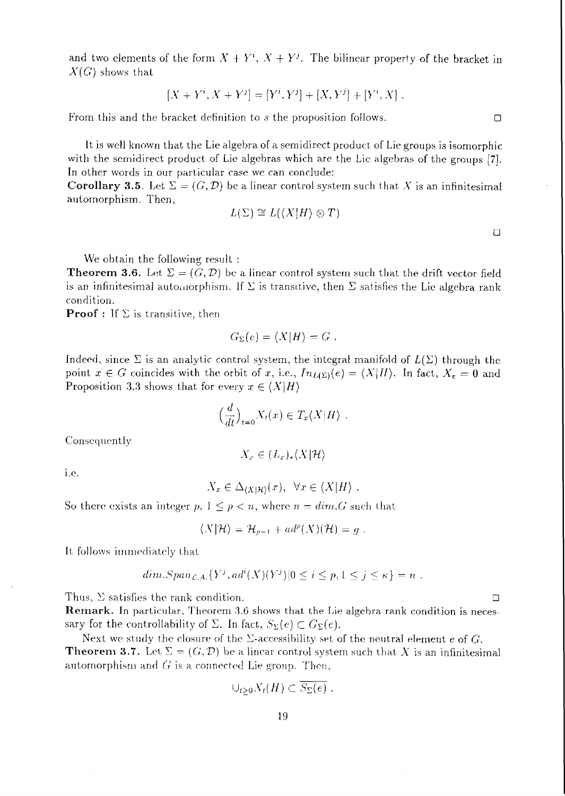and two elements of the form  $X + Y^i$ ,  $X + Y^j$ . The bilinear property of the bracket in *X(G)* shows that

$$
[X + Yi, X + Yj] = [Yi, Yj] + [X, Yj] + [Yi, X].
$$

From this and the bracket definition to *s* the proposition follows. D

It is well known that the Lie algebra of a semidirect product of Lie groups is isomorphic with the semidirect product of Lie algebras which are the Lie algebras of the groups [7]. In other words in our particular case we can conclude:

**Corollary 3.5.** Let  $\Sigma = (G, \mathcal{D})$  be a linear control system such that X is an infinitesimal automorphism. Then,

$$
L(\Sigma) \cong L(\langle X | H \rangle \otimes T)
$$

We obtain the following result :

**Theorem 3.6.** Let  $\Sigma = (G, \mathcal{D})$  be a linear control system such that the drift vector field is an infinitesimal automorphism. If  $\Sigma$  is transitive, then  $\Sigma$  satisfies the Lie algebra rank condition.

**Proof** : If  $\Sigma$  is transitive, then

$$
G_{\Sigma}(e) = \langle X|H \rangle = G.
$$

Indeed, since  $\Sigma$  is an analytic control system, the integral manifold of  $L(\Sigma)$  through the point  $x \in G$  coincides with the orbit of x, i.e.,  $In_{L(\Sigma)}(e) = \langle X|H\rangle$ . In fact,  $X_e = 0$  and Proposition 3.3 shows that for every  $x \in \langle X|H \rangle$ 

$$
\left(\frac{d}{dt}\right)_{t=0}X_t(x)\in T_x\langle X|H\rangle.
$$

Consequently

$$
X_x \in (L_x)_*(X|\mathcal{H})
$$

**i.e.**

$$
X_x \in \Delta_{\langle X|\mathcal{H}\rangle}(x), \ \ \forall x \in \langle X|H\rangle
$$

So there exists an integer  $p, 1 \leq p < n$ , where  $n = dim.G$  such that

$$
\langle X|\mathcal{H}\rangle = \mathcal{H}_{p-1} + ad^p(X)(\mathcal{H}) = g.
$$

It follows immediately that

$$
dim.Span_{\mathcal{L},A.}\{Y^j, ad^i(X)(Y^j) | 0 \le i \le p, 1 \le j \le \kappa\} = n.
$$

Thus,  $\Sigma$  satisfies the rank condition,  $\square$ 

Remark. In particular, Theorem 3.6 shows that the Lie algebra rank condition is necessary for the controllability of  $\Sigma$ . In fact,  $S_{\Sigma}(e) \subset G_{\Sigma}(e)$ .

Next we study the closure of the  $\Sigma$ -accessibility set of the neutral element e of  $G$ . **Theorem 3.7.** Let  $\Sigma = (G, \mathcal{D})$  be a linear control system such that X is an infinitesimal automorphism and *G* is a connected Lie group. Then,

$$
\cup_{t\geq 0}X_t(H)\subset \overline{S_{\Sigma}}(e).
$$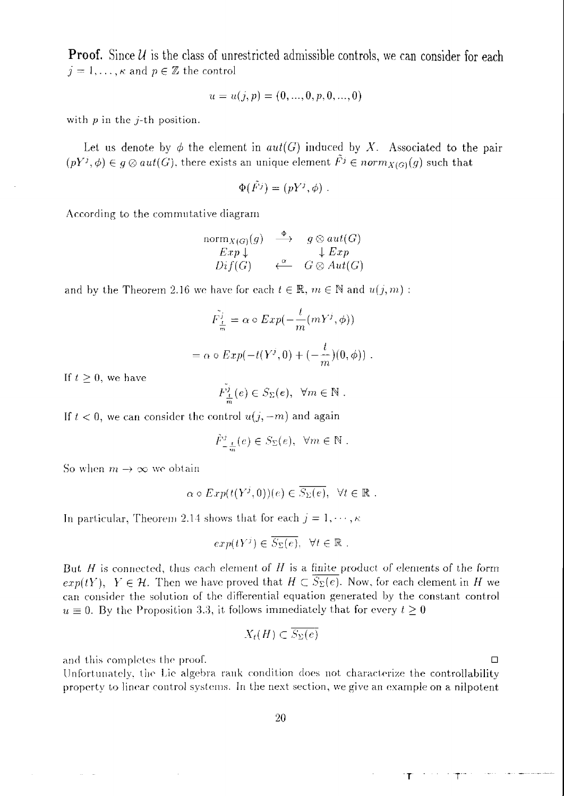Proof. Since *U* is the class of unrestricted admissible controls, we can consider for each  $j = 1, \ldots, \kappa$  and  $p \in \mathbb{Z}$  the control

$$
u=u(j,p)=(0,...,0,p,0,...,0)
$$

with *p* in the *j-th* position.

Let us denote by  $\phi$  the element in  $aut(G)$  induced by X. Associated to the pair  $(pY^j, \phi) \in g \oslash aut(G)$ , there exists an unique element  $\tilde{F}^j \in norm_{X(G)}(g)$  such that

$$
\Phi(\tilde{F}^j) = (pY^j, \phi) .
$$

According to the commutative diagram

$$
\begin{array}{ccc}\n\operatorname{norm}_{X(G)}(g) & \stackrel{\Phi}{\longrightarrow} & g \otimes aut(G) \\
\hline\n\operatorname{Exp} \downarrow & & \downarrow \operatorname{Exp} \\
\operatorname{Dif}(G) & \stackrel{\alpha}{\longleftarrow} & G \otimes Aut(G)\n\end{array}
$$

and by the Theorem 2.16 we have for each  $t \in \mathbb{R}$ ,  $m \in \mathbb{N}$  and  $u(j, m)$ :

$$
\tilde{F_{\frac{t}{m}}} = \alpha \circ Exp(-\frac{t}{m}(mY^j, \phi))
$$

$$
= \alpha \circ Exp(-t(Y^j, 0) + (-\frac{t}{m})(0, \phi))
$$

If  $t \geq 0$ , we have

$$
F_{\frac{1}{m}}^{j}(e) \in S_{\Sigma}(e), \ \forall m \in \mathbb{N} .
$$

If  $t < 0$ , we can consider the control  $u(j, -m)$  and again

$$
\tilde{F}^{j}_{-\frac{t}{m}}(e) \in S_{\Sigma}(e), \ \forall m \in \mathbb{N} .
$$

So when  $m \to \infty$  we obtain

$$
\alpha \circ Exp(t(Y^j,0))(e) \in \overline{S_{\Sigma}(e)}, \ \forall t \in \mathbb{R}.
$$

In particular, Theorem 2.14 shows that for each  $j = 1, \dots, \kappa$ 

$$
exp(tY^j) \in \overline{S_{\Sigma}(e)}, \ \forall t \in \mathbb{R}.
$$

But  $H$  is connected, thus each element of  $H$  is a finite product of elements of the form *exp(tY), Y*  $\in \mathcal{H}$ . Then we have proved that  $H \subset \overline{S_{\Sigma}(e)}$ . Now, for each element in *H* we can consider the solution of the differential equation generated by the constant control  $u \equiv 0$ . By the Proposition 3.3, it follows immediately that for every  $t \geq 0$ 

$$
X_t(H)\subset \overline{S_\Sigma(e)}
$$

and this completes the proof.  $\Box$ 

Unfortunately, the Lie algebra rank condition does not characterize the controllability property to linear control systems. In the next section, we give an example on a nilpotent

**T"**

 $\alpha$  ,  $\alpha$  ,  $\beta$  ,  $\alpha$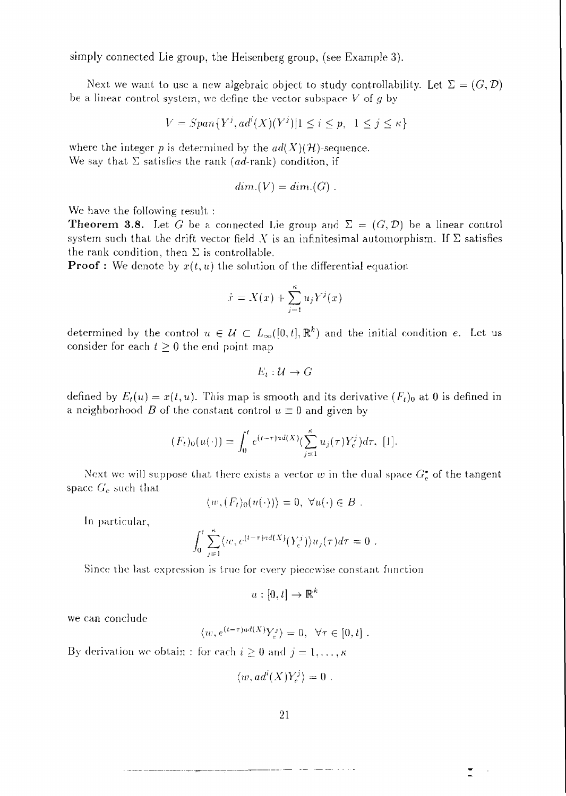simply connected Lie group, the Heisenberg group, (see Example 3).

Next we want to use a new algebraic object to study controllability. Let  $\Sigma = (G, \mathcal{D})$ be a linear control system, we define the vector subspace *V* of *g* by

$$
V = Span\{Y^j, ad^i(X)(Y^j) | 1 \le i \le p, \ 1 \le j \le \kappa\}
$$

where the integer  $p$  is determined by the  $\mathit{ad}(X)(\mathcal{H})$ -sequence. We say that  $\Sigma$  satisfies the rank (ad-rank) condition, if

$$
dim.(V) = dim.(G) .
$$

We have the following result :

**Theorem 3.8.** Let G be a connected Lie group and  $\Sigma = (G, \mathcal{D})$  be a linear control system such that the drift vector field X is an infinitesimal automorphism. If  $\Sigma$  satisfies the rank condition, then  $\Sigma$  is controllable.

**Proof**: We denote by  $x(t, u)$  the solution of the differential equation

$$
\dot{x} = X(x) + \sum_{j=1}^{\kappa} u_j Y^j(x)
$$

determined by the control  $u \in \mathcal{U} \subset L_{\infty}([0, t], \mathbb{R}^k)$  and the initial condition e. Let us consider for each  $t \geq 0$  the end point map

$$
E_t: \mathcal{U} \to G
$$

defined by  $E_t(u) = x(t, u)$ . This map is smooth and its derivative  $(F_t)_0$  at 0 is defined in a neighborhood *B* of the constant control  $u \equiv 0$  and given by

$$
(F_t)_0(u(\cdot)) = \int_0^t e^{(t-\tau) \alpha d(X)} \left(\sum_{j=1}^{\kappa} u_j(\tau) Y_e^j\right) d\tau, [1].
$$

Next we will suppose that there exists a vector *w* in the dual space *G"* of the tangent space  $G_c$  such that

$$
\langle w, (F_t)_0(u(\cdot))\rangle = 0, \ \forall u(\cdot) \in B.
$$

In particular,

$$
\int_0^t \sum_{j=1}^\kappa \langle w, c^{(t-\tau)ad(X)}(Y_e^j) \rangle u_j(\tau) d\tau = 0
$$

Since the last expression is true for every piecewise constant function

$$
u:[0,t]\to\mathbb{R}^k
$$

we can conclude

$$
\langle w, e^{(t-\tau)a d(X)} Y_e^j \rangle = 0, \quad \forall \tau \in [0, t] .
$$

By derivation we obtain : for each  $i \geq 0$  and  $j = 1, \ldots, \kappa$ 

$$
\langle w, ad^i(X)Y^j_e \rangle = 0.
$$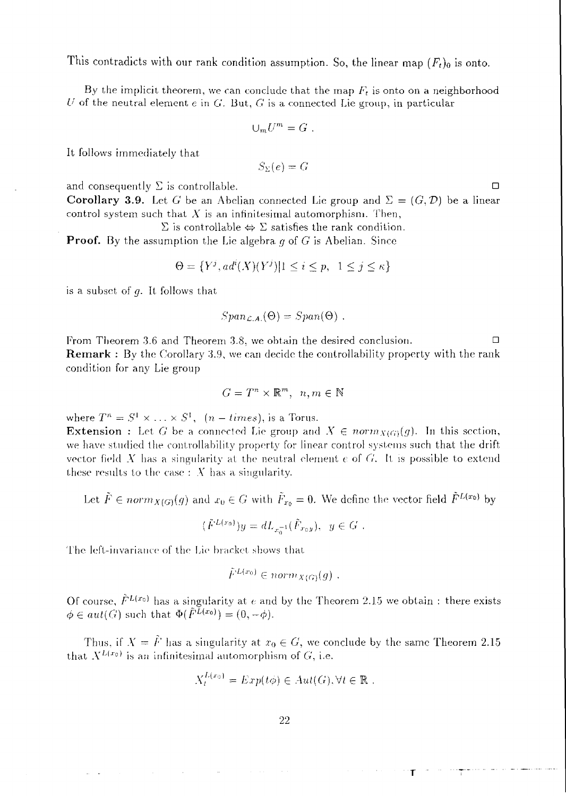This contradicts with our rank condition assumption. So, the linear map  $(F_t)_0$  is onto.

By the implicit theorem, we can conclude that the map  $F_t$  is onto on a neighborhood *U* of the neutral element e in *G.* But, *G* is a connected Lie group, in particular

$$
\cup_m U^m = G.
$$

It follows immediately that

$$
S_{\Sigma}(e) = G
$$

and consequently  $\Sigma$  is controllable.  $\square$ 

**Corollary 3.9.** Let G be an Abelian connected Lie group and  $\Sigma = (G, \mathcal{D})$  be a linear control system such that *X* is an infinitesimal automorphism. Then,

 $\Sigma$  is controllable  $\Leftrightarrow \Sigma$  satisfies the rank condition.

**Proof.** By the assumption the Lie algebra *g* of *G* is Abelian. Since

$$
\Theta = \{ Y^j, ad^i(X)(Y^j) | 1 \le i \le p, \ 1 \le j \le \kappa \}
$$

is a subset of *g.* It follows that.

$$
Span_{\mathcal{L},A.}(\Theta) = Span(\Theta) .
$$

From Theorem 3.6 and Theorem 3.8, we obtain the desired conclusion.  $\Box$ **Remark** : By the Corollary 3.9, we can decide the controllability property with the rank condition for any Lie group

$$
G = T^n \times \mathbb{R}^m, \ n, m \in \mathbb{N}
$$

where  $T^n = S^1 \times \ldots \times S^1$ ,  $(n - times)$ , is a Torus.

Extension : Let G be a connected Lie group and  $X \in norm_{X(G)}(g)$ . In this section, we have studied the controllability property for linear control systems such that the drift vector field X has a singularity at the neutral element  $\epsilon$  of G. It is possible to extend these results to the case :  $X$  has a singularity.

Let  $\tilde{F} \in norm_{X(G)}(g)$  and  $x_0 \in G$  with  $\tilde{F}_{x_0} = 0$ . We define the vector field  $\tilde{F}^{L(x_0)}$  by

$$
(\tilde{F}^{L(x_0)})y = dL_{x_0^{-1}}(\tilde{F}_{x_0y}), y \in G.
$$

The left-invariance of the Lie bracket shows that.

$$
\tilde{F}^{L(x_0)} \in norm_{X(G)}(g) .
$$

Of course,  $\tilde{F}^{L(x_0)}$  has a singularity at *e* and by the Theorem 2.15 we obtain : there exists  $\phi \in aut(G)$  such that  $\Phi(\tilde{F}^{L(x_0)}) = (0, -\phi)$ .

Thus, if  $X = \tilde{F}$  has a singularity at  $x_0 \in G$ , we conclude by the same Theorem 2.15 that  $X^{L(x_0)}$  is an infinitesimal automorphism of *G*, i.e.

$$
X_t^{L(x_0)} = Exp(t\phi) \in Aut(G), \forall t \in \mathbb{R}.
$$

 $\alpha$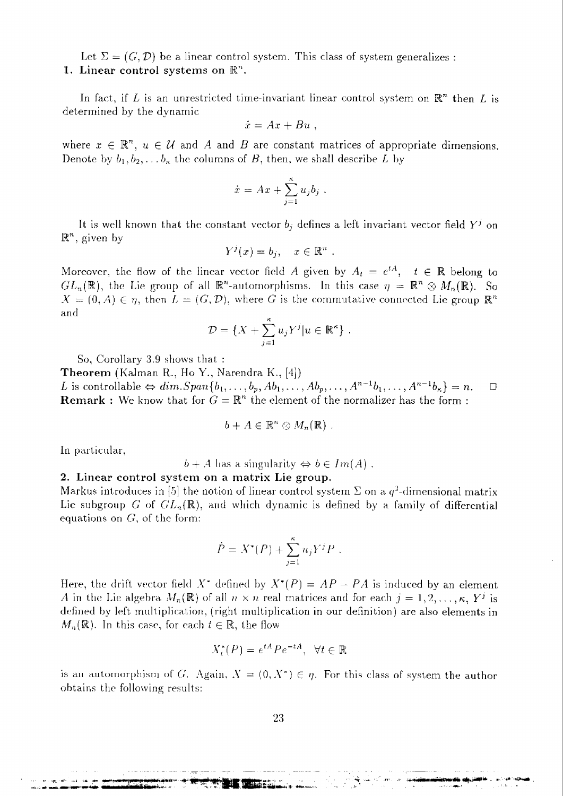Let  $\Sigma = (G, \mathcal{D})$  be a linear control system. This class of system generalizes : **1. Linear control** systems **on** *W<sup>1</sup> .*

In fact, if L is an unrestricted time-invariant linear control system on  $\mathbb{R}^n$  then L is determined by the dynamic

$$
\dot{x}=Ax+Bu\ ,
$$

where  $x \in \mathbb{R}^n$ ,  $u \in \mathcal{U}$  and *A* and *B* are constant matrices of appropriate dimensions. Denote by  $b_1, b_2, \ldots, b_k$  the columns of *B*, then, we shall describe *L* by

$$
\dot{x} = Ax + \sum_{j=1}^{\kappa} u_j b_j.
$$

It is well known that the constant vector  $b_j$  defines a left invariant vector field  $Y^j$  on  $\mathbb{R}^n$ , given by

$$
Y^j(x) = b_j, \quad x \in \mathbb{R}^n .
$$

Moreover, the flow of the linear vector field A given by  $A_t = e^{tA}$ ,  $t \in \mathbb{R}$  belong to  $GL_n(\mathbb{R})$ , the Lie group of all  $\mathbb{R}^n$ -automorphisms. In this case  $\eta = \mathbb{R}^n \otimes M_n(\mathbb{R})$ . So  $X = (0, A) \in \eta$ , then  $L = (G, \mathcal{D})$ , where G is the commutative connected Lie group  $\mathbb{R}^n$ and

$$
\mathcal{D} = \{X + \sum_{j=1}^{\kappa} u_j Y^j | u \in \mathbb{R}^{\kappa} \}.
$$

So, Corollary 3.9 shows that :

**Theorem** (Kalman R., Ho Y., Narendra K., [4]) *L* is controllable  $\Leftrightarrow dim.Span{b_1,\ldots,b_p,Ab_1,\ldots,Ab_p,\ldots,A^{n-1}b_1,\ldots,A^{n-1}b_\kappa}=n.$   $\Box$ **Remark** : We know that for  $G = \mathbb{R}^n$  the element of the normalizer has the form :

$$
b+A\in\mathbb{R}^n\otimes M_n(\mathbb{R})\ .
$$

In particular,

 $b + A$  has a singularity  $\Leftrightarrow b \in Im(A)$ .

### **2. Linear control** system **on a matrix Lie group.**

Markus introduces in [5] the notion of linear control system  $\Sigma$  on a  $q^2$ -dimensional matrix Lie subgroup *G* of  $GL_n(\mathbb{R})$ , and which dynamic is defined by a family of differential equations on  $G$ , of the form:

$$
\dot{P} = X^*(P) + \sum_{j=1}^{\kappa} u_j Y^j P.
$$

Here, the drift vector field  $X^*$  defined by  $X^*(P) = AP - PA$  is induced by an element *A* in the Lie algebra.  $M_n(\mathbb{R})$  of all  $n \times n$  real matrices and for each  $j = 1, 2, \ldots, \kappa, Y^j$  is defined by left multiplication, (right multiplication in our definition) are also elements in  $M_n(\mathbb{R})$ . In this case, for each  $t \in \mathbb{R}$ , the flow

$$
X_t^*(P) = e^{tA} P e^{-tA}, \ \ \forall t \in \mathbb{R}
$$

is an automorphism of G. Again,  $X = (0, X^*) \in \eta$ . For this class of system the author obtains the following results: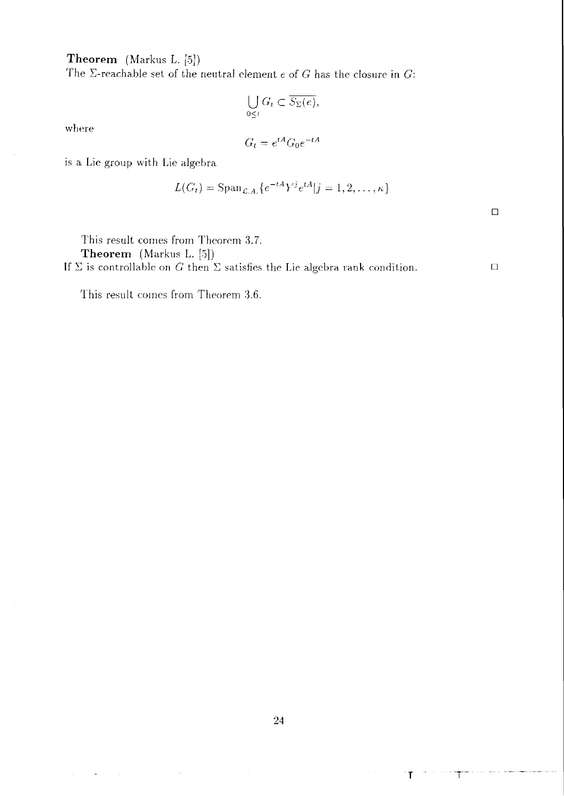**Theorem** (Markus L. [5])

The S-reachable set of the neutral element e of *G* has the closure in *G:*

$$
\bigcup_{0\leq t}G_t\subset\overline{S_{\Sigma}(e)},
$$

where

 $\sim 12$ 

 $\bar{\beta}$ 

$$
G_t = e^{tA} G_0 e^{-tA}
$$

is a Lie group with Lie algebra

$$
L(G_t) = \operatorname{Span}_{\mathcal{L}, A} \{ e^{-tA} Y^j e^{tA} | j = 1, 2, \dots, \kappa \}
$$

**•**

This result comes from Theorem 3.7.

**Theorem** (Markus L. [5])

If  $\Sigma$  is controllable on G then  $\Sigma$  satisfies the Lie algebra rank condition.  $\square$ 

This result comes from Theorem 3.6.

 $\mathbf{T}$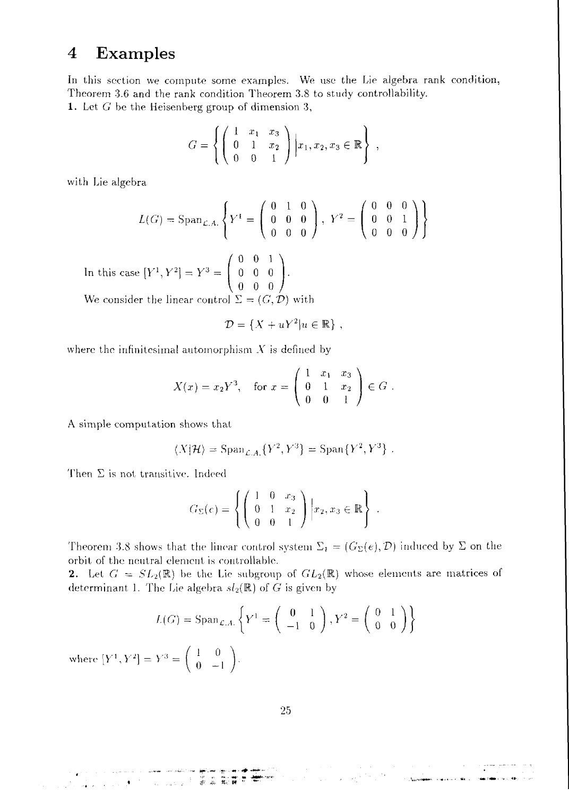# 4 Examples

In this section we compute some examples. We use the Lie algebra rank condition, Theorem 3.6 and the rank condition Theorem 3.8 to study controllability. 1. Let *G* be the Heisenberg group of dimension 3,

$$
G = \left\{ \left( \begin{array}{ccc} 1 & x_1 & x_3 \\ 0 & 1 & x_2 \\ 0 & 0 & 1 \end{array} \right) \middle| x_1, x_2, x_3 \in \mathbb{R} \right\} ,
$$

with Lie algebra

$$
L(G) = \text{Span}_{\mathcal{L}, A.} \left\{ Y^1 = \begin{pmatrix} 0 & 1 & 0 \\ 0 & 0 & 0 \\ 0 & 0 & 0 \end{pmatrix}, Y^2 = \begin{pmatrix} 0 & 0 & 0 \\ 0 & 0 & 1 \\ 0 & 0 & 0 \end{pmatrix} \right\}
$$

 $0 \quad 0 \quad 1 \end{bmatrix}$  $\text{In this case}$   $[Y^1, Y^2] = Y^3 = \begin{bmatrix} 0 & 0 & 0 \end{bmatrix}.$ 0 0 0 / We consider the linear control  $\Sigma = (G, \mathcal{D})$  with

$$
\mathcal{D} = \{X + uY^2 | u \in \mathbb{R}\},\,
$$

where the infinitesimal automorphism  $X$  is defined by

$$
X(x) = x_2 Y^3
$$
, for  $x = \begin{pmatrix} 1 & x_1 & x_3 \\ 0 & 1 & x_2 \\ 0 & 0 & 1 \end{pmatrix} \in G$ .

A simple computation shows that

$$
\langle X|\mathcal{H}\rangle = \mathrm{Span}_{\mathcal{L},A.}\{Y^2, Y^3\} = \mathrm{Span}\{Y^2, Y^3\}.
$$

Then  $\Sigma$  is not transitive. Indeed

$$
G_{\Sigma}(\epsilon) = \left\{ \left( \begin{array}{ccc} 1 & 0 & x_3 \\ 0 & 1 & x_2 \\ 0 & 0 & 1 \end{array} \right) \bigg| x_2, x_3 \in \mathbb{R} \right\} .
$$

Theorem 3.8 shows that the linear control system  $\Sigma_t = (G_\Sigma(e),\mathcal{D})$  induced by  $\Sigma$  on the orbit of the neutral element is controllable.

2. Let  $G = SL_2(\mathbb{R})$  be the Lie subgroup of  $GL_2(\mathbb{R})$  whose elements are matrices of determinant 1. The Lie algebra  $sl_2(\mathbb{R})$  of G is given by

$$
L(G) = \text{Span}_{\mathcal{L}, A.} \left\{ Y^1 = \begin{pmatrix} 0 & 1 \\ -1 & 0 \end{pmatrix}, Y^2 = \begin{pmatrix} 0 & 1 \\ 0 & 0 \end{pmatrix} \right\}
$$

$$
T^2] = Y^3 = \begin{pmatrix} 1 & 0 \\ 0 & -1 \end{pmatrix}.
$$

where  $[Y^1, Y]$ 

<del>∰ine je</del> je ješček je dobitnik (\* 1988)<br>#pretografija (\* 1988)<br>19 Marsie (\* 2008)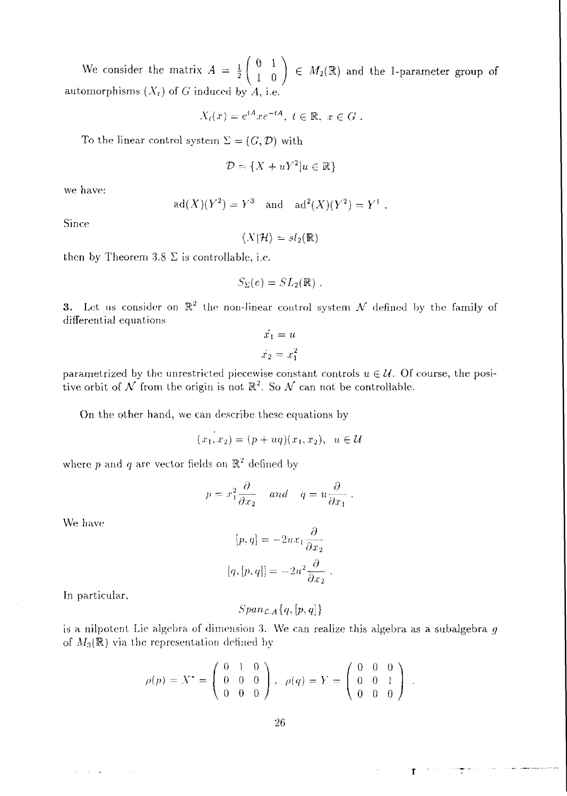We consider the matrix  $A = \frac{1}{2} \begin{pmatrix} 0 & 1 \\ 1 & 0 \end{pmatrix} \in M_2(\mathbb{R})$  and the 1-parameter group of automorphisms  $(X_t)$  of G induced by  $A$ , i.e.

$$
X_t(x) = e^{tA} x e^{-tA}, \ t \in \mathbb{R}, \ x \in G.
$$

To the linear control system  $\Sigma = (G, \mathcal{D})$  with

$$
\mathcal{D} = \{X + uY^2 | u \in \mathbb{R}\}
$$

we have:

$$
ad(X)(Y^2) = Y^3 \text{ and } ad^2(X)(Y^2) = Y^1.
$$

Since

$$
\langle X | \mathcal{H} \rangle = sl_2(\mathbb{R})
$$

then by Theorem 3.8  $\Sigma$  is controllable, i.e.

$$
S_{\Sigma}(e) = SL_2(\mathbb{R}) .
$$

3. Let us consider on  $\mathbb{R}^2$  the non-linear control system  $\mathcal N$  defined by the family of differentia! equations

$$
\begin{aligned}\n\dot{x_1} &= u\\ \n\dot{x_2} &= x_1^2\n\end{aligned}
$$

parametrized by the unrestricted piecewise constant controls  $u \in \mathcal{U}$ . Of course, the positive orbit of  $\mathcal N$  from the origin is not  $\mathbb R^2.$  So  $\mathcal N$  can not be controllable.

On the other hand, we can describe these equations by

$$
(x_1, x_2) = (p + uq)(x_1, x_2), u \in \mathcal{U}
$$

where  $p$  and  $q$  are vector fields on  $\mathbb{R}^2$  defined by

$$
p = x_1^2 \frac{\partial}{\partial x_2}
$$
 and  $q = u \frac{\partial}{\partial x_1}$ .

We have

$$
[p,q] = -2ux_1\frac{\partial}{\partial x_2}
$$

$$
[q,[p,q]] = -2u^2\frac{\partial}{\partial x_2}.
$$

*\n* particular,

$$
Span_{\mathcal{L},A}\{q,[p,q]\}
$$

is a nilpotent Lie algebra of dimension 3. We can realize this algebra as a subalgebra *g* of  $M_3(\mathbb{R})$  via the representation defined by

$$
\rho(p) = X^* = \begin{pmatrix} 0 & 1 & 0 \\ 0 & 0 & 0 \\ 0 & 0 & 0 \end{pmatrix}, \ \rho(q) = Y = \begin{pmatrix} 0 & 0 & 0 \\ 0 & 0 & 1 \\ 0 & 0 & 0 \end{pmatrix}.
$$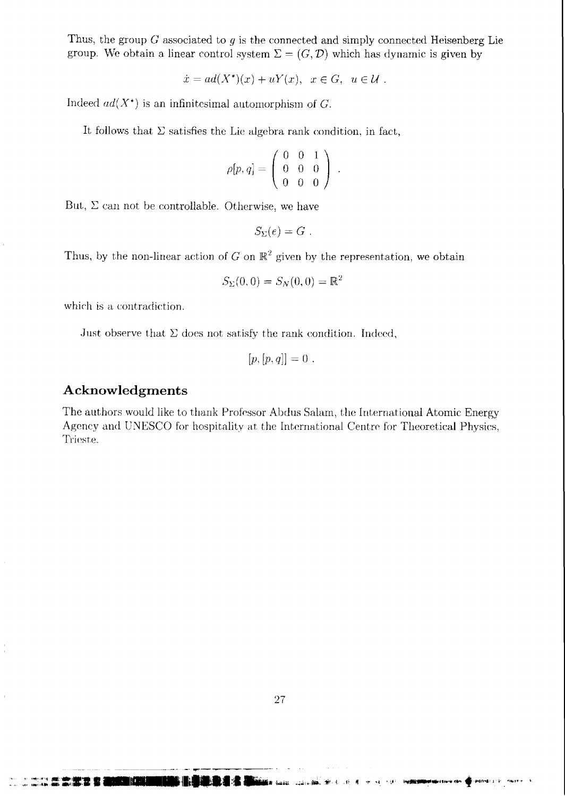Thus, the group *G* associated to *g* is the connected and simply connected Heisenberg Lie group. We obtain a linear control system  $\Sigma = (G, \mathcal{D})$  which has dynamic is given by

$$
\dot{x} = ad(X^*)(x) + uY(x), \ \ x \in G, \ \ u \in \mathcal{U} .
$$

Indeed  $ad(X^*)$  is an infinitesimal automorphism of  $G$ .

It follows that  $\Sigma$  satisfies the Lie algebra rank condition, in fact,

$$
\rho[p,q] = \left(\begin{array}{rrr} 0 & 0 & 1 \\ 0 & 0 & 0 \\ 0 & 0 & 0 \end{array}\right)
$$

But,  $\Sigma$  can not be controllable. Otherwise, we have

$$
S_{\Sigma}(e)=G.
$$

Thus, by the non-linear action of  $G$  on  $\mathbb{R}^2$  given by the representation, we obtain

$$
S_{\Sigma}(0,0)=S_N(0,0)=\mathbb{R}^2
$$

which is a contradiction.

Just observe that  $\Sigma$  does not satisfy the rank condition. Indeed,

$$
[p,[p,q]]=0.
$$

### **Acknowledgments**

**Kanponin Series** 

The authors would like to thank Professor Abdus Salam, the International Atomic Energy Agency and UNESCO for hospitality at the International Centre for Theoretical Physics, Trieste.

**Supplemental construction of the second carrier construction** 

ije.  $\mathbf{A}$ 

**\*' >**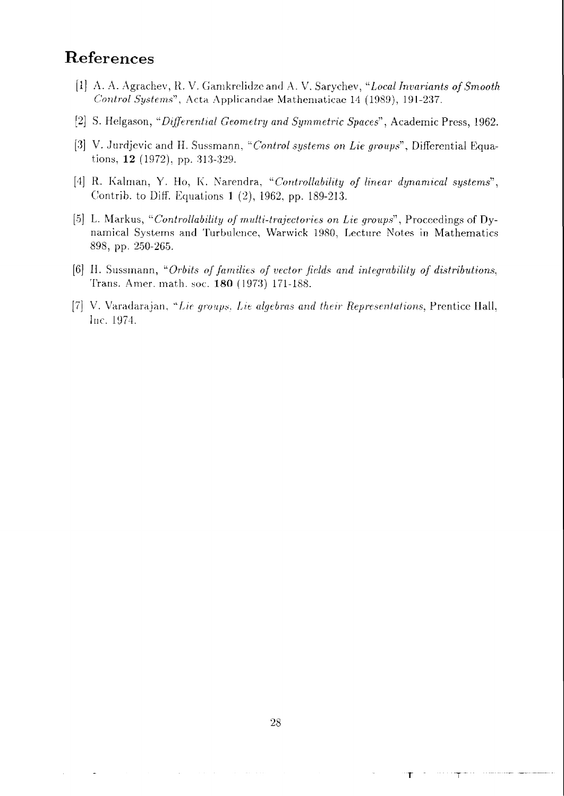# References

- [1] A. A. Agrachev, R. V. Gamkrelidzeand A. V. Sarychev, " *Local Invariants of Smooth Control Systems'",* Acta Applicandae Mathematicac 14 (1989), 191-237.
- [2] S. Helgason, *"Differential Geometry and Symmetric Spaces'",* Academic Press, 1962.
- [3] V. Jurdjcvic and H. Sussmann, *'"Control systems on Lie groups'",* Differential Equations, 12 (1972), pp. 313-329.
- [4] R. Kalman, Y. Ho, K. Narendra, *"Controllability of linear dynamical systems",* Contrib. to Diff. Equations 1 (2), 1962, pp. 189-213.
- [5] L. Markus, "*Controllability of multi-trajectories on Lie groups'",* Proceedings of Dynamical Systems and Turbulence, Warwick 1980, Lecture Notes in Mathematics 898, pp. 250-265.
- [6] H. Sussmann, *^Orbits of families of vector fields and integrability of distributions,* Trans. Amer. math. soc. **180** (1973) 171-188.
- [7] V. Varadarajan, "Lie groups, Lie algebras and their Representations, Prentice Hall, Inc. 1974.